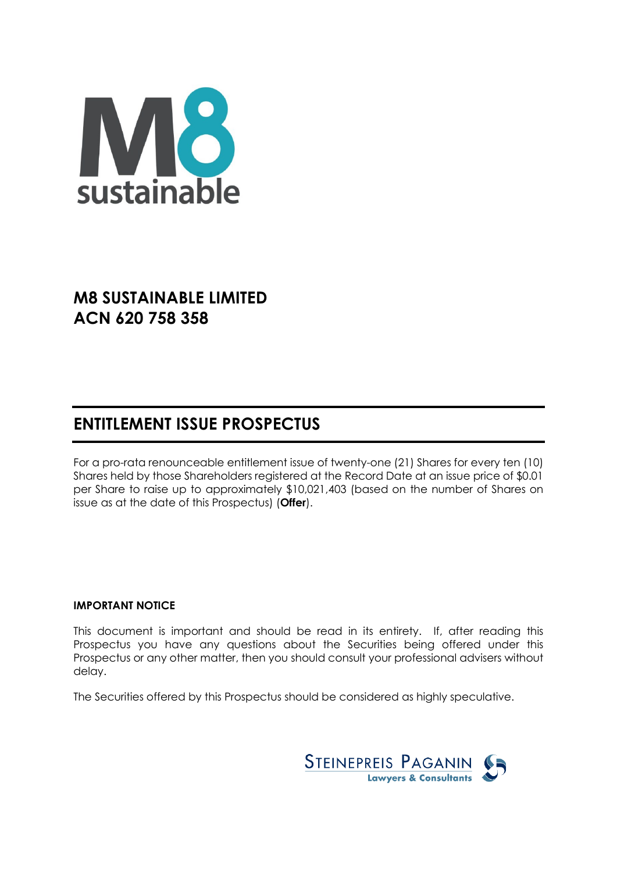

# **M8 SUSTAINABLE LIMITED ACN 620 758 358**

# **ENTITLEMENT ISSUE PROSPECTUS**

For a pro-rata renounceable entitlement issue of twenty-one (21) Shares for every ten (10) Shares held by those Shareholders registered at the Record Date at an issue price of \$0.01 per Share to raise up to approximately \$10,021,403 (based on the number of Shares on issue as at the date of this Prospectus) (**Offer**).

## **IMPORTANT NOTICE**

This document is important and should be read in its entirety. If, after reading this Prospectus you have any questions about the Securities being offered under this Prospectus or any other matter, then you should consult your professional advisers without delay.

The Securities offered by this Prospectus should be considered as highly speculative.

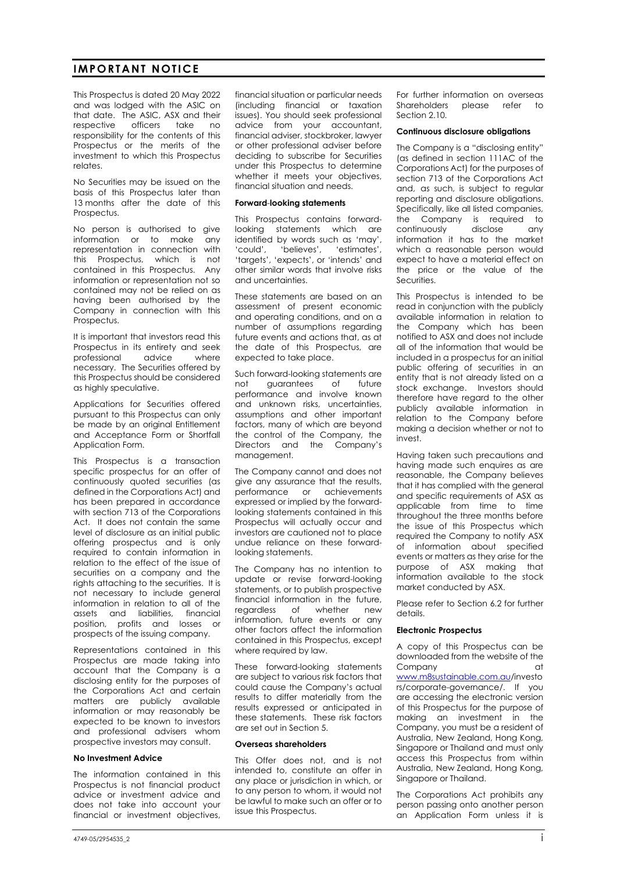## **IMPORTANT NOTICE**

This Prospectus is dated 20 May 2022 and was lodged with the ASIC on that date. The ASIC, ASX and their respective officers take no responsibility for the contents of this Prospectus or the merits of the investment to which this Prospectus relates.

No Securities may be issued on the basis of this Prospectus later than 13 months after the date of this Prospectus.

No person is authorised to give information or to make any representation in connection with this Prospectus, which is not contained in this Prospectus. Any information or representation not so contained may not be relied on as having been authorised by the Company in connection with this Prospectus.

It is important that investors read this Prospectus in its entirety and seek<br>professional advice where professional advice where necessary. The Securities offered by this Prospectus should be considered as highly speculative.

Applications for Securities offered pursuant to this Prospectus can only be made by an original Entitlement and Acceptance Form or Shortfall Application Form.

This Prospectus is a transaction specific prospectus for an offer of continuously quoted securities (as defined in the Corporations Act) and has been prepared in accordance with section 713 of the Corporations Act. It does not contain the same level of disclosure as an initial public offering prospectus and is only required to contain information in relation to the effect of the issue of securities on a company and the rights attaching to the securities. It is not necessary to include general information in relation to all of the assets and liabilities, financial position, profits and losses or prospects of the issuing company.

Representations contained in this Prospectus are made taking into account that the Company is a disclosing entity for the purposes of the Corporations Act and certain matters are publicly available information or may reasonably be expected to be known to investors and professional advisers whom prospective investors may consult.

#### **No Investment Advice**

The information contained in this Prospectus is not financial product advice or investment advice and does not take into account your financial or investment objectives,

financial situation or particular needs (including financial or taxation issues). You should seek professional advice from your accountant, financial adviser, stockbroker, lawyer or other professional adviser before deciding to subscribe for Securities under this Prospectus to determine whether it meets your objectives, financial situation and needs.

#### **Forward**-**looking statements**

This Prospectus contains forwardlooking statements which are identified by words such as 'may', 'could', 'believes', 'estimates', 'targets', 'expects', or 'intends' and other similar words that involve risks and uncertainties.

These statements are based on an assessment of present economic and operating conditions, and on a number of assumptions regarding future events and actions that, as at the date of this Prospectus, are expected to take place.

Such forward-looking statements are not guarantees of future performance and involve known and unknown risks, uncertainties, assumptions and other important factors, many of which are beyond the control of the Company, the Directors and the Company's management.

The Company cannot and does not give any assurance that the results, performance or achievements expressed or implied by the forwardlooking statements contained in this Prospectus will actually occur and investors are cautioned not to place undue reliance on these forwardlooking statements.

The Company has no intention to update or revise forward-looking statements, or to publish prospective financial information in the future, regardless of whether new information, future events or any other factors affect the information contained in this Prospectus, except where required by law.

These forward-looking statements are subject to various risk factors that could cause the Company's actual results to differ materially from the results expressed or anticipated in these statements. These risk factors are set out in Section [5.](#page-24-0) 

#### **Overseas shareholders**

This Offer does not, and is not intended to, constitute an offer in any place or jurisdiction in which, or to any person to whom, it would not be lawful to make such an offer or to issue this Prospectus.

For further information on overseas<br>Shareholders please refer to please refer to Section 2.10

#### **Continuous disclosure obligations**

The Company is a "disclosing entity" (as defined in section 111AC of the Corporations Act) for the purposes of section 713 of the Corporations Act and, as such, is subject to regular reporting and disclosure obligations. Specifically, like all listed companies, the Company is required to continuously disclose any information it has to the market which a reasonable person would expect to have a material effect on the price or the value of the Securities.

This Prospectus is intended to be read in conjunction with the publicly available information in relation to the Company which has been notified to ASX and does not include all of the information that would be included in a prospectus for an initial public offering of securities in an entity that is not already listed on a stock exchange. Investors should therefore have regard to the other publicly available information in relation to the Company before making a decision whether or not to invest.

Having taken such precautions and having made such enquires as are reasonable, the Company believes that it has complied with the general and specific requirements of ASX as applicable from time to time throughout the three months before the issue of this Prospectus which required the Company to notify ASX of information about specified events or matters as they arise for the purpose of ASX making that information available to the stock market conducted by ASX.

Please refer to Section [6.2](#page-37-0) for further details.

#### **Electronic Prospectus**

A copy of this Prospectus can be downloaded from the website of the Company at a company at the company of the company  $\alpha$ [www.m8sustainable.com.au/](http://www.m8sustainable.com.au/)investo rs/corporate-governance/. If you are accessing the electronic version of this Prospectus for the purpose of making an investment in the Company, you must be a resident of Australia, New Zealand, Hong Kong, Singapore or Thailand and must only access this Prospectus from within Australia, New Zealand, Hong Kong, Singapore or Thailand.

The Corporations Act prohibits any person passing onto another person an Application Form unless it is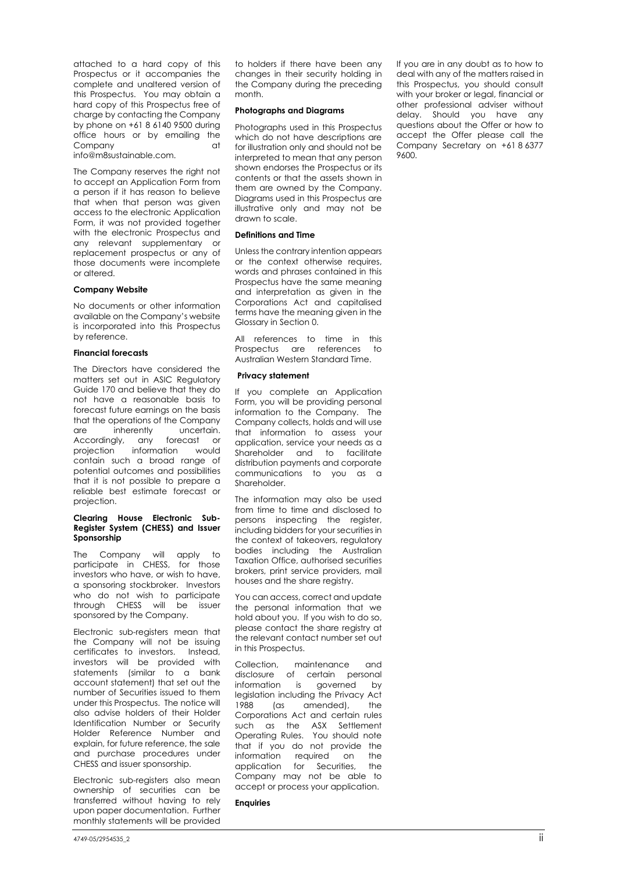attached to a hard copy of this Prospectus or it accompanies the complete and unaltered version of this Prospectus. You may obtain a hard copy of this Prospectus free of charge by contacting the Company by phone on +61 8 6140 9500 during office hours or by emailing the Company at

info@m8sustainable.com.

The Company reserves the right not to accept an Application Form from a person if it has reason to believe that when that person was given access to the electronic Application Form, it was not provided together with the electronic Prospectus and any relevant supplementary or replacement prospectus or any of those documents were incomplete or altered.

#### **Company Website**

No documents or other information available on the Company's website is incorporated into this Prospectus by reference.

#### **Financial forecasts**

The Directors have considered the matters set out in ASIC Regulatory Guide 170 and believe that they do not have a reasonable basis to forecast future earnings on the basis that the operations of the Company are inherently uncertain. Accordingly, any forecast or projection information would contain such a broad range of potential outcomes and possibilities that it is not possible to prepare a reliable best estimate forecast or projection.

#### **Clearing House Electronic Sub-Register System (CHESS) and Issuer Sponsorship**

The Company will apply to participate in CHESS, for those investors who have, or wish to have, a sponsoring stockbroker. Investors who do not wish to participate through CHESS will be issuer sponsored by the Company.

Electronic sub-registers mean that the Company will not be issuing certificates to investors. Instead, investors will be provided with statements (similar to a bank account statement) that set out the number of Securities issued to them under this Prospectus. The notice will also advise holders of their Holder Identification Number or Security Holder Reference Number and explain, for future reference, the sale and purchase procedures under CHESS and issuer sponsorship.

Electronic sub-registers also mean ownership of securities can be transferred without having to rely upon paper documentation. Further monthly statements will be provided

to holders if there have been any changes in their security holding in the Company during the preceding month.

#### **Photographs and Diagrams**

Photographs used in this Prospectus which do not have descriptions are for illustration only and should not be interpreted to mean that any person shown endorses the Prospectus or its contents or that the assets shown in them are owned by the Company. Diagrams used in this Prospectus are illustrative only and may not be drawn to scale.

#### **Definitions and Time**

Unless the contrary intention appears or the context otherwise requires, words and phrases contained in this Prospectus have the same meaning and interpretation as given in the Corporations Act and capitalised terms have the meaning given in the Glossary in Section [0.](#page-44-0)

All references to time in this Prospectus are references to Australian Western Standard Time.

#### **Privacy statement**

If you complete an Application Form, you will be providing personal information to the Company. The Company collects, holds and will use that information to assess your application, service your needs as a Shareholder and to facilitate distribution payments and corporate communications to you as a Shareholder.

The information may also be used from time to time and disclosed to persons inspecting the register, including bidders for your securities in the context of takeovers, regulatory bodies including the Australian Taxation Office, authorised securities brokers, print service providers, mail houses and the share registry.

You can access, correct and update the personal information that we hold about you. If you wish to do so, please contact the share registry at the relevant contact number set out in this Prospectus.

Collection, maintenance and disclosure of certain personal information is governed by legislation including the Privacy Act 1988 (as amended), the Corporations Act and certain rules such as the ASX Settlement Operating Rules. You should note that if you do not provide the information required on the application for Securities, the Company may not be able to accept or process your application.

#### **Enquiries**

If you are in any doubt as to how to deal with any of the matters raised in this Prospectus, you should consult with your broker or legal, financial or other professional adviser without delay. Should you have any questions about the Offer or how to accept the Offer please call the Company Secretary on +61 8 6377 9600.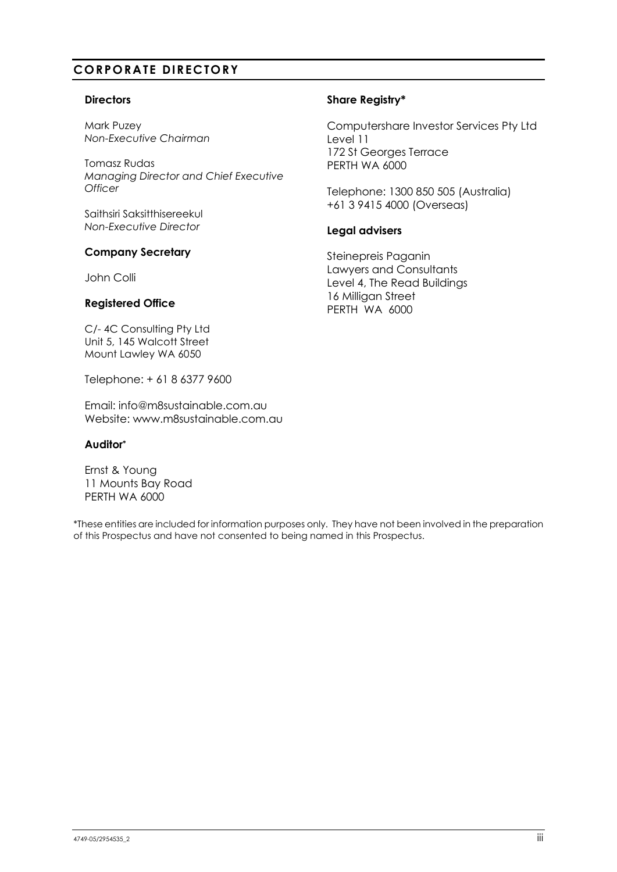## **CORPORATE DIRECTORY**

## **Directors**

Mark Puzey *Non-Executive Chairman*

Tomasz Rudas *Managing Director and Chief Executive Officer*

Saithsiri Saksitthisereekul *Non-Executive Director*

## **Company Secretary**

John Colli

C/- 4C Consulting Pty Ltd Unit 5, 145 Walcott Street Mount Lawley WA 6050

Telephone: + 61 8 6377 9600

Email: info@m8sustainable.com.au Website: www.m8sustainable.com.au

## **Auditor\***

Ernst & Young 11 Mounts Bay Road PERTH WA 6000

\*These entities are included for information purposes only. They have not been involved in the preparation of this Prospectus and have not consented to being named in this Prospectus.

## **Share Registry\***

Computershare Investor Services Pty Ltd Level 11 172 St Georges Terrace PERTH WA 6000

Telephone: 1300 850 505 (Australia) +61 3 9415 4000 (Overseas)

## **Legal advisers**

Steinepreis Paganin Lawyers and Consultants Level 4, The Read Buildings 16 Milligan Street PERTH WA 6000 **Registered Office**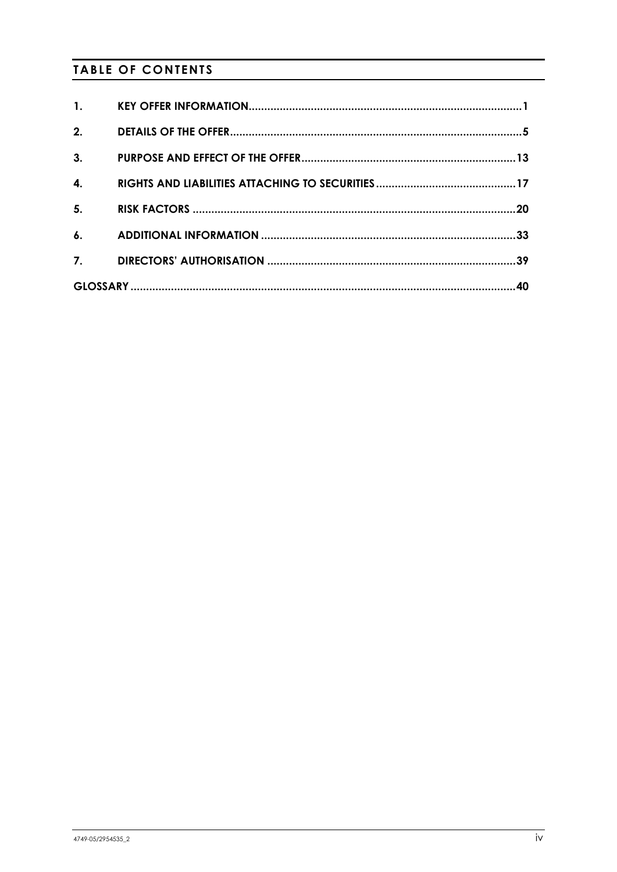# **TABLE OF CONTENTS**

| $\mathbf{1}$ .     |  |
|--------------------|--|
| 2.                 |  |
| 3.                 |  |
| $\boldsymbol{4}$ . |  |
| 5.                 |  |
| $\mathbf{6}$ .     |  |
| 7.                 |  |
|                    |  |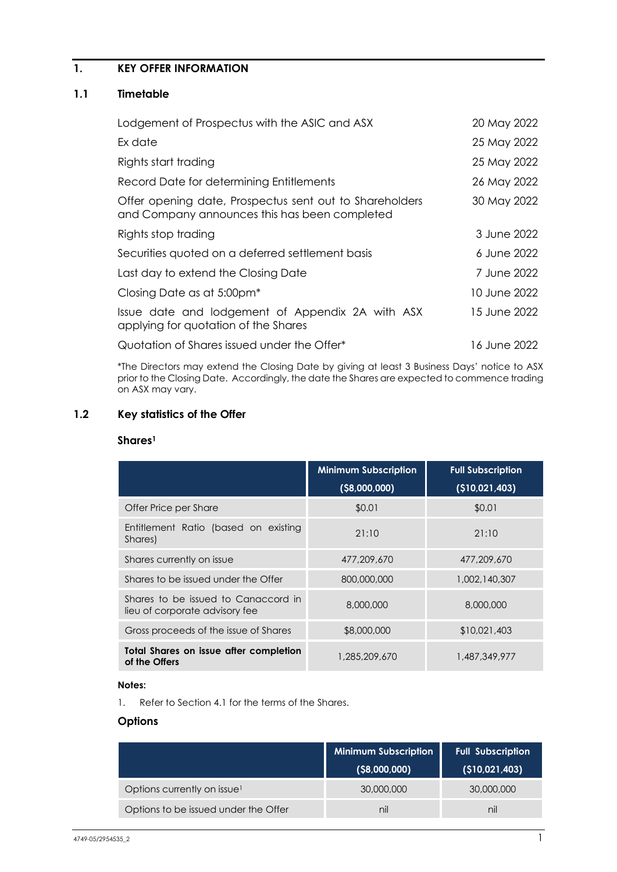## <span id="page-5-0"></span>**1. KEY OFFER INFORMATION**

## **1.1 Timetable**

| Lodgement of Prospectus with the ASIC and ASX                                                            | 20 May 2022   |
|----------------------------------------------------------------------------------------------------------|---------------|
| Ex date                                                                                                  | 25 May 2022   |
| Rights start trading                                                                                     | 25 May 2022   |
| Record Date for determining Entitlements                                                                 | 26 May 2022   |
| Offer opening date, Prospectus sent out to Shareholders<br>and Company announces this has been completed | 30 May 2022   |
| Rights stop trading                                                                                      | 3 June 2022   |
| Securities quoted on a deferred settlement basis                                                         | 6 June 2022   |
| Last day to extend the Closing Date                                                                      | 7 June 2022   |
| Closing Date as at 5:00pm <sup>*</sup>                                                                   | 10 June 2022. |
| Issue date and lodgement of Appendix 2A with ASX<br>applying for quotation of the Shares                 | 15 June 2022  |
| Quotation of Shares issued under the Offer*                                                              | 16 June 2022  |

\*The Directors may extend the Closing Date by giving at least 3 Business Days' notice to ASX prior to the Closing Date. Accordingly, the date the Shares are expected to commence trading on ASX may vary.

## **1.2 Key statistics of the Offer**

## **Shares1**

|                                                                       | <b>Minimum Subscription</b><br>$($ \$8,000,000) | <b>Full Subscription</b><br>(\$10,021,403) |
|-----------------------------------------------------------------------|-------------------------------------------------|--------------------------------------------|
| Offer Price per Share                                                 | \$0.01                                          | \$0.01                                     |
| Entitlement Ratio (based on existing<br>Shares)                       | 21:10                                           | 21:10                                      |
| Shares currently on issue                                             | 477,209,670                                     | 477,209,670                                |
| Shares to be issued under the Offer                                   | 800,000,000                                     | 1,002,140,307                              |
| Shares to be issued to Canaccord in<br>lieu of corporate advisory fee | 8,000,000                                       | 8,000,000                                  |
| Gross proceeds of the issue of Shares                                 | \$8,000,000                                     | \$10,021,403                               |
| Total Shares on issue after completion<br>of the Offers               | 1,285,209,670                                   | 1,487,349,977                              |

## **Notes:**

1. Refer to Section [4.1](#page-21-1) for the terms of the Shares.

## **Options**

|                                         | <b>Minimum Subscription</b><br>$($ \$8,000,000) | <b>Full Subscription</b><br>(\$10,021,403) |
|-----------------------------------------|-------------------------------------------------|--------------------------------------------|
| Options currently on issue <sup>1</sup> | 30,000,000                                      | 30,000,000                                 |
| Options to be issued under the Offer    | nil                                             | nil                                        |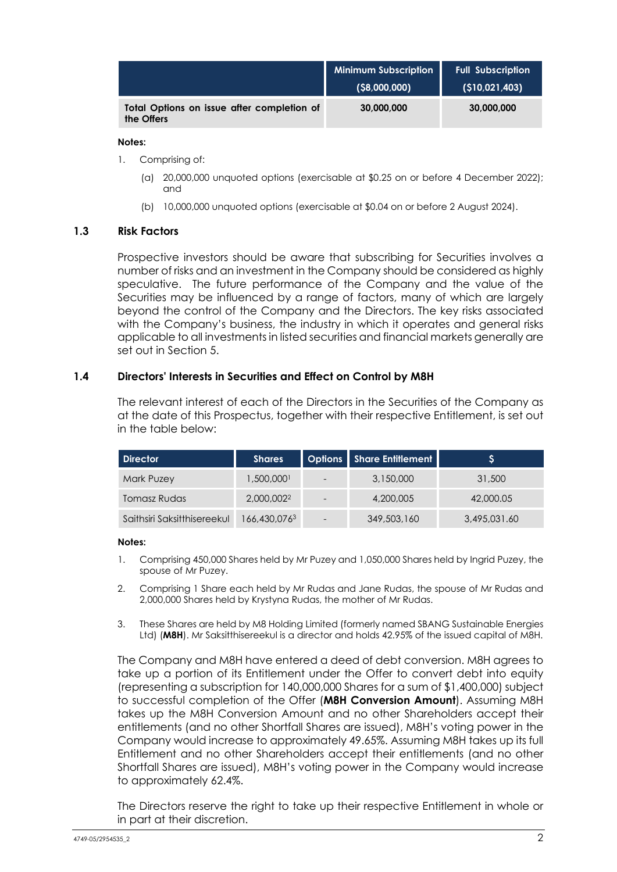|                                                          | <b>Minimum Subscription</b> | <b>Full Subscription</b> |
|----------------------------------------------------------|-----------------------------|--------------------------|
|                                                          | $($ \$8,000,000)            | (\$10,021,403)           |
| Total Options on issue after completion of<br>the Offers | 30,000,000                  | 30,000,000               |

## **Notes:**

- 1. Comprising of:
	- (a) 20,000,000 unquoted options (exercisable at \$0.25 on or before 4 December 2022); and
	- (b) 10,000,000 unquoted options (exercisable at \$0.04 on or before 2 August 2024).

## **1.3 Risk Factors**

Prospective investors should be aware that subscribing for Securities involves a number of risks and an investment in the Company should be considered as highly speculative. The future performance of the Company and the value of the Securities may be influenced by a range of factors, many of which are largely beyond the control of the Company and the Directors. The key risks associated with the Company's business, the industry in which it operates and general risks applicable to all investments in listed securities and financial markets generally are set out in Section 5.

## <span id="page-6-0"></span>**1.4 Directors' Interests in Securities and Effect on Control by M8H**

The relevant interest of each of the Directors in the Securities of the Company as at the date of this Prospectus, together with their respective Entitlement, is set out in the table below:

| <b>Director</b>             | <b>Shares</b>          |                          | Options   Share Entitlement | ১            |
|-----------------------------|------------------------|--------------------------|-----------------------------|--------------|
| Mark Puzey                  | 1,500,000              | $\overline{\phantom{a}}$ | 3,150,000                   | 31,500       |
| Tomasz Rudas                | 2,000,002 <sup>2</sup> | $\overline{\phantom{0}}$ | 4,200,005                   | 42,000.05    |
| Saithsiri Saksitthisereekul | 166,430,0763           | $\overline{\phantom{a}}$ | 349,503,160                 | 3,495,031.60 |

### **Notes:**

- 1. Comprising 450,000 Shares held by Mr Puzey and 1,050,000 Shares held by Ingrid Puzey, the spouse of Mr Puzey.
- 2. Comprising 1 Share each held by Mr Rudas and Jane Rudas, the spouse of Mr Rudas and 2,000,000 Shares held by Krystyna Rudas, the mother of Mr Rudas.
- 3. These Shares are held by M8 Holding Limited (formerly named SBANG Sustainable Energies Ltd) (**M8H**). Mr Saksitthisereekul is a director and holds 42.95% of the issued capital of M8H.

The Company and M8H have entered a deed of debt conversion. M8H agrees to take up a portion of its Entitlement under the Offer to convert debt into equity (representing a subscription for 140,000,000 Shares for a sum of \$1,400,000) subject to successful completion of the Offer (**M8H Conversion Amount**). Assuming M8H takes up the M8H Conversion Amount and no other Shareholders accept their entitlements (and no other Shortfall Shares are issued), M8H's voting power in the Company would increase to approximately 49.65%. Assuming M8H takes up its full Entitlement and no other Shareholders accept their entitlements (and no other Shortfall Shares are issued), M8H's voting power in the Company would increase to approximately 62.4%.

The Directors reserve the right to take up their respective Entitlement in whole or in part at their discretion.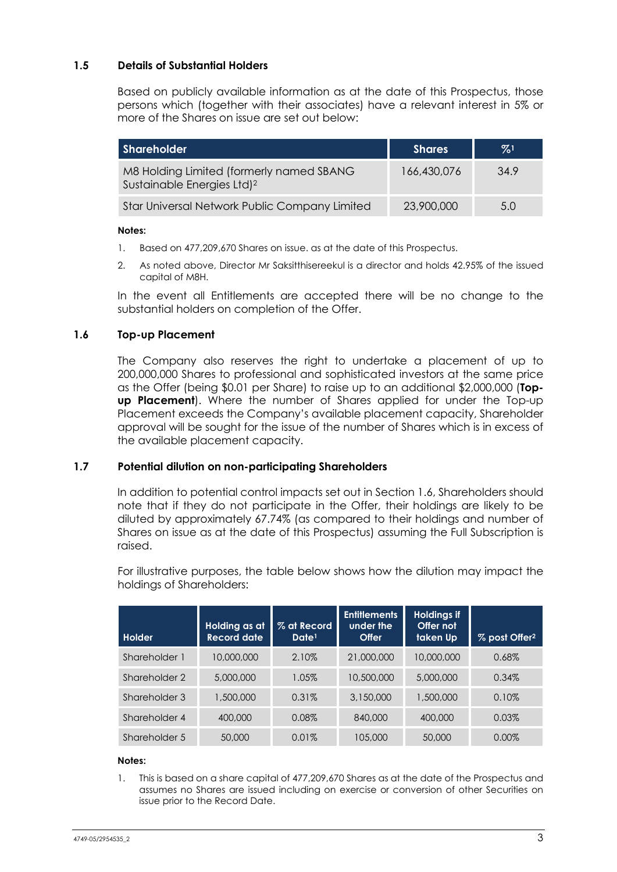## **1.5 Details of Substantial Holders**

Based on publicly available information as at the date of this Prospectus, those persons which (together with their associates) have a relevant interest in 5% or more of the Shares on issue are set out below:

| <b>Shareholder</b>                                                                 | <b>Shares</b> | $\frac{9}{6}$ <sup>1</sup> |
|------------------------------------------------------------------------------------|---------------|----------------------------|
| M8 Holding Limited (formerly named SBANG<br>Sustainable Energies Ltd) <sup>2</sup> | 166,430,076   | 34.9                       |
| Star Universal Network Public Company Limited                                      | 23,900,000    | 5.0                        |

## **Notes:**

- 1. Based on 477,209,670 Shares on issue. as at the date of this Prospectus.
- 2. As noted above, Director Mr Saksitthisereekul is a director and holds 42.95% of the issued capital of M8H.

In the event all Entitlements are accepted there will be no change to the substantial holders on completion of the Offer.

## <span id="page-7-0"></span>**1.6 Top-up Placement**

The Company also reserves the right to undertake a placement of up to 200,000,000 Shares to professional and sophisticated investors at the same price as the Offer (being \$0.01 per Share) to raise up to an additional \$2,000,000 (**Topup Placement**). Where the number of Shares applied for under the Top-up Placement exceeds the Company's available placement capacity, Shareholder approval will be sought for the issue of the number of Shares which is in excess of the available placement capacity.

## **1.7 Potential dilution on non-participating Shareholders**

In addition to potential control impacts set out in Section [1.6,](#page-7-0) Shareholders should note that if they do not participate in the Offer, their holdings are likely to be diluted by approximately 67.74% (as compared to their holdings and number of Shares on issue as at the date of this Prospectus) assuming the Full Subscription is raised.

For illustrative purposes, the table below shows how the dilution may impact the holdings of Shareholders:

| Holder        | Holding as at<br><b>Record date</b> | % at Record<br>Date <sup>1</sup> | <b>Entitlements</b><br>under the<br><b>Offer</b> | <b>Holdings if</b><br>Offer not<br>taken Up | % post Offer <sup>2</sup> |
|---------------|-------------------------------------|----------------------------------|--------------------------------------------------|---------------------------------------------|---------------------------|
| Shareholder 1 | 10,000,000                          | 2.10%                            | 21,000,000                                       | 10,000,000                                  | 0.68%                     |
| Shareholder 2 | 5,000,000                           | 1.05%                            | 10,500,000                                       | 5,000,000                                   | 0.34%                     |
| Shareholder 3 | 1,500,000                           | 0.31%                            | 3,150,000                                        | 1,500,000                                   | 0.10%                     |
| Shareholder 4 | 400,000                             | 0.08%                            | 840,000                                          | 400,000                                     | 0.03%                     |
| Shareholder 5 | 50,000                              | 0.01%                            | 105,000                                          | 50,000                                      | 0.00%                     |

## **Notes:**

1. This is based on a share capital of 477,209,670 Shares as at the date of the Prospectus and assumes no Shares are issued including on exercise or conversion of other Securities on issue prior to the Record Date.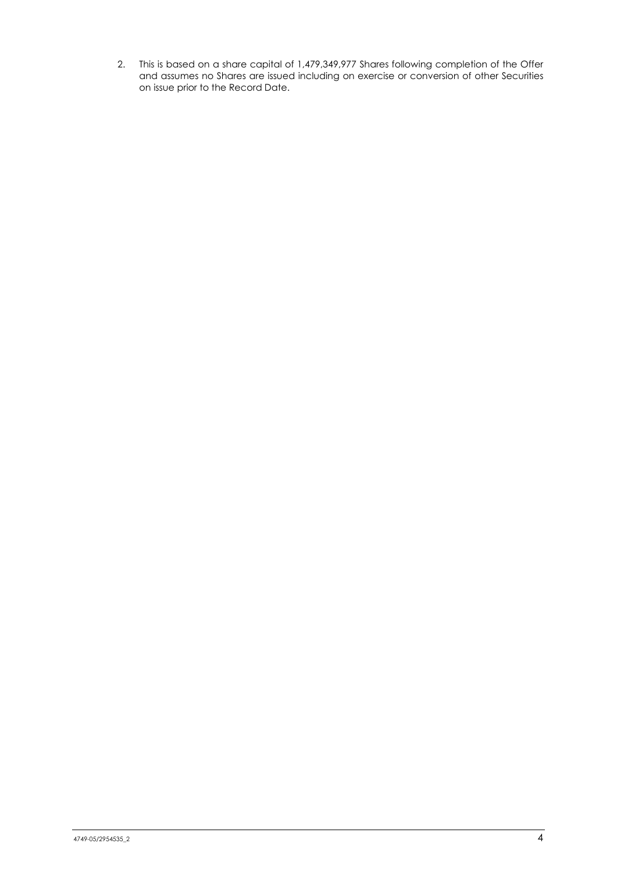2. This is based on a share capital of 1,479,349,977 Shares following completion of the Offer and assumes no Shares are issued including on exercise or conversion of other Securities on issue prior to the Record Date.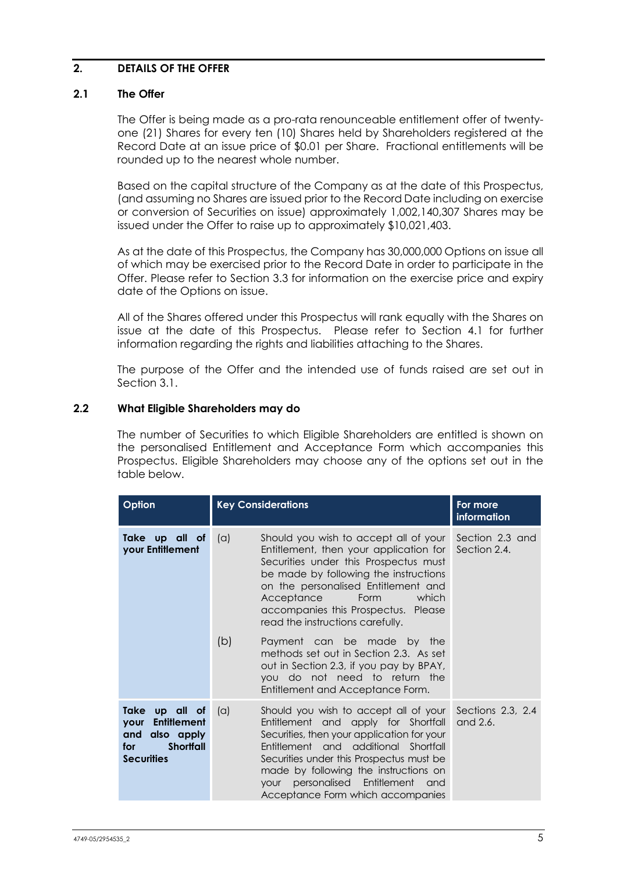## <span id="page-9-0"></span>**2. DETAILS OF THE OFFER**

## **2.1 The Offer**

The Offer is being made as a pro-rata renounceable entitlement offer of twentyone (21) Shares for every ten (10) Shares held by Shareholders registered at the Record Date at an issue price of \$0.01 per Share. Fractional entitlements will be rounded up to the nearest whole number.

Based on the capital structure of the Company as at the date of this Prospectus, (and assuming no Shares are issued prior to the Record Date including on exercise or conversion of Securities on issue) approximately 1,002,140,307 Shares may be issued under the Offer to raise up to approximately \$10,021,403.

As at the date of this Prospectus, the Company has 30,000,000 Options on issue all of which may be exercised prior to the Record Date in order to participate in the Offer. Please refer to Section [3.3](#page-18-0) for information on the exercise price and expiry date of the Options on issue.

All of the Shares offered under this Prospectus will rank equally with the Shares on issue at the date of this Prospectus. Please refer to Section [4.1](#page-21-1) for further information regarding the rights and liabilities attaching to the Shares.

The purpose of the Offer and the intended use of funds raised are set out in Section [3.1.](#page-17-1)

## **2.2 What Eligible Shareholders may do**

The number of Securities to which Eligible Shareholders are entitled is shown on the personalised Entitlement and Acceptance Form which accompanies this Prospectus. Eligible Shareholders may choose any of the options set out in the table below.

| Option                                                                                                                      | <b>Key Considerations</b> | For more<br>information                                                                                                                                                                                                                                                                                                           |                                 |
|-----------------------------------------------------------------------------------------------------------------------------|---------------------------|-----------------------------------------------------------------------------------------------------------------------------------------------------------------------------------------------------------------------------------------------------------------------------------------------------------------------------------|---------------------------------|
| Take up all of<br>your Entitlement                                                                                          | $(\alpha)$                | Should you wish to accept all of your<br>Entitlement, then your application for<br>Securities under this Prospectus must<br>be made by following the instructions<br>on the personalised Entitlement and<br>Acceptance<br>Form<br>which<br>accompanies this Prospectus. Please<br>read the instructions carefully.                | Section 2.3 and<br>Section 2.4. |
|                                                                                                                             | (b)                       | Payment can be made by the<br>methods set out in Section 2.3. As set<br>out in Section 2.3, if you pay by BPAY,<br>you do not need to return the<br>Entitlement and Acceptance Form.                                                                                                                                              |                                 |
| Take<br>up all of<br><b>Entitlement</b><br><b>your</b><br>also apply<br>and<br><b>Shortfall</b><br>for<br><b>Securities</b> | (a)                       | Should you wish to accept all of your<br>Entitlement and apply for Shortfall<br>Securities, then your application for your<br>Entitlement and additional Shortfall<br>Securities under this Prospectus must be<br>made by following the instructions on<br>your personalised Entitlement and<br>Acceptance Form which accompanies | Sections 2.3, 2.4<br>and 2.6.   |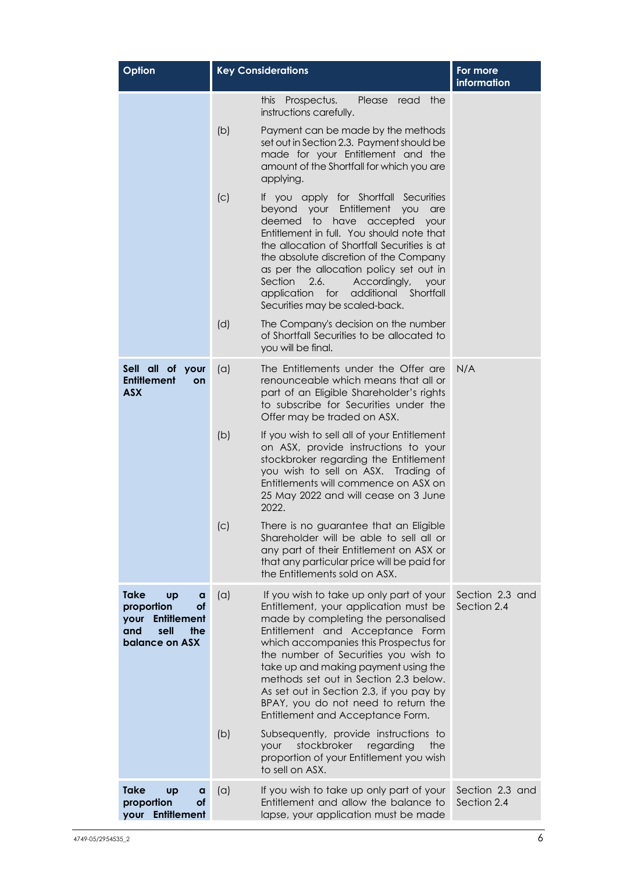| Option                                                                                                                  |     | <b>Key Considerations</b>                                                                                                                                                                                                                                                                                                                                                                                                                            | For more<br>information        |
|-------------------------------------------------------------------------------------------------------------------------|-----|------------------------------------------------------------------------------------------------------------------------------------------------------------------------------------------------------------------------------------------------------------------------------------------------------------------------------------------------------------------------------------------------------------------------------------------------------|--------------------------------|
|                                                                                                                         |     | Prospectus.<br>the<br><b>this</b><br>Please<br>read<br>instructions carefully.                                                                                                                                                                                                                                                                                                                                                                       |                                |
|                                                                                                                         | (b) | Payment can be made by the methods<br>set out in Section 2.3. Payment should be<br>made for your Entitlement and the<br>amount of the Shortfall for which you are<br>applying.                                                                                                                                                                                                                                                                       |                                |
|                                                                                                                         | (C) | If you apply for Shortfall Securities<br>beyond your Entitlement<br><b>YOU</b><br>are<br>deemed<br>to have accepted<br>your<br>Entitlement in full. You should note that<br>the allocation of Shortfall Securities is at<br>the absolute discretion of the Company<br>as per the allocation policy set out in<br>2.6.<br>Section<br>Accordingly,<br>your<br>application for<br>additional<br>Shortfall<br>Securities may be scaled-back.             |                                |
|                                                                                                                         | (d) | The Company's decision on the number<br>of Shortfall Securities to be allocated to<br>you will be final.                                                                                                                                                                                                                                                                                                                                             |                                |
| Sell all of your<br><b>Entitlement</b><br>on<br><b>ASX</b>                                                              | (a) | The Entitlements under the Offer are<br>renounceable which means that all or<br>part of an Eligible Shareholder's rights<br>to subscribe for Securities under the<br>Offer may be traded on ASX.                                                                                                                                                                                                                                                     | N/A                            |
|                                                                                                                         | (b) | If you wish to sell all of your Entitlement<br>on ASX, provide instructions to your<br>stockbroker regarding the Entitlement<br>you wish to sell on ASX. Trading of<br>Entitlements will commence on ASX on<br>25 May 2022 and will cease on 3 June<br>2022.                                                                                                                                                                                         |                                |
|                                                                                                                         | (c) | There is no guarantee that an Eligible<br>Shareholder will be able to sell all or<br>any part of their Entitlement on ASX or<br>that any particular price will be paid for<br>the Entitlements sold on ASX.                                                                                                                                                                                                                                          |                                |
| <b>Take</b><br><b>Up</b><br>a<br>proportion<br>of<br><b>Entitlement</b><br>your<br>and<br>sell<br>the<br>balance on ASX | (a) | If you wish to take up only part of your<br>Entitlement, your application must be<br>made by completing the personalised<br>Entitlement and Acceptance Form<br>which accompanies this Prospectus for<br>the number of Securities you wish to<br>take up and making payment using the<br>methods set out in Section 2.3 below.<br>As set out in Section 2.3, if you pay by<br>BPAY, you do not need to return the<br>Entitlement and Acceptance Form. | Section 2.3 and<br>Section 2.4 |
|                                                                                                                         | (b) | Subsequently, provide instructions to<br>stockbroker<br>regarding<br>your<br>the<br>proportion of your Entitlement you wish<br>to sell on ASX.                                                                                                                                                                                                                                                                                                       |                                |
| <b>Take</b><br><b>up</b><br>a<br>proportion<br><b>of</b><br><b>Entitlement</b><br>your                                  | (a) | If you wish to take up only part of your<br>Entitlement and allow the balance to<br>lapse, your application must be made                                                                                                                                                                                                                                                                                                                             | Section 2.3 and<br>Section 2.4 |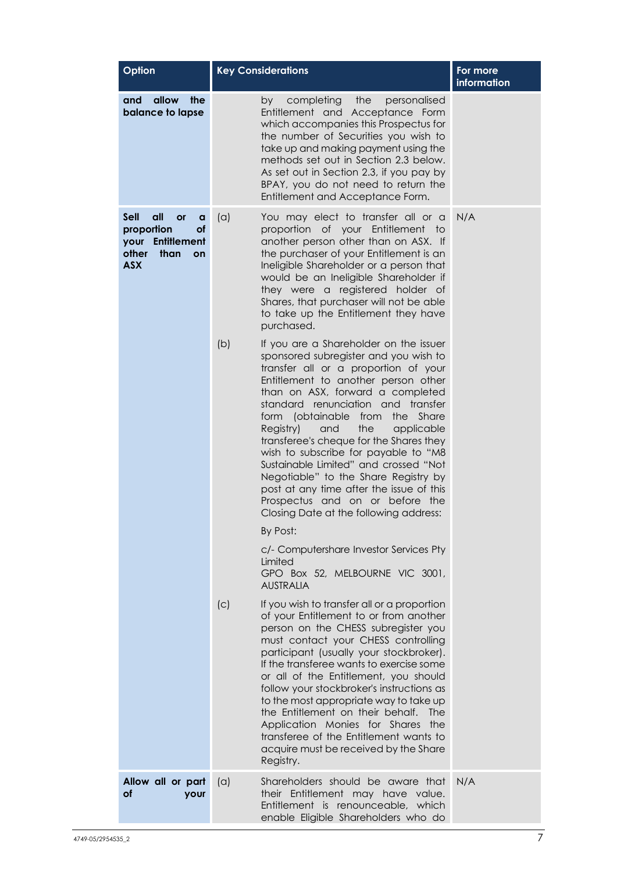| Option                                                                                                            | <b>Key Considerations</b> | For more<br>information                                                                                                                                                                                                                                                                                                                                                                                                                                                                                                                                                                                                                   |     |
|-------------------------------------------------------------------------------------------------------------------|---------------------------|-------------------------------------------------------------------------------------------------------------------------------------------------------------------------------------------------------------------------------------------------------------------------------------------------------------------------------------------------------------------------------------------------------------------------------------------------------------------------------------------------------------------------------------------------------------------------------------------------------------------------------------------|-----|
| allow<br>and<br>the<br>balance to lapse                                                                           |                           | the<br>personalised<br>completing<br>by<br>Entitlement and Acceptance Form<br>which accompanies this Prospectus for<br>the number of Securities you wish to<br>take up and making payment using the<br>methods set out in Section 2.3 below.<br>As set out in Section 2.3, if you pay by<br>BPAY, you do not need to return the<br>Entitlement and Acceptance Form.                                                                                                                                                                                                                                                                       |     |
| <b>Sell</b><br>all<br><b>or</b><br>a<br>proportion<br>оf<br>your Entitlement<br>other<br>than<br>on<br><b>ASX</b> | (a)                       | You may elect to transfer all or a<br>proportion of your Entitlement<br>to<br>another person other than on ASX. If<br>the purchaser of your Entitlement is an<br>Ineligible Shareholder or a person that<br>would be an Ineligible Shareholder if<br>they were a registered holder of<br>Shares, that purchaser will not be able<br>to take up the Entitlement they have<br>purchased.                                                                                                                                                                                                                                                    | N/A |
|                                                                                                                   | (b)                       | If you are a Shareholder on the issuer<br>sponsored subregister and you wish to<br>transfer all or a proportion of your<br>Entitlement to another person other<br>than on ASX, forward a completed<br>standard renunciation and<br>transfer<br>form (obtainable<br>from<br>the<br>Share<br>and<br>the<br>Registry)<br>applicable<br>transferee's cheque for the Shares they<br>wish to subscribe for payable to "M8<br>Sustainable Limited" and crossed "Not<br>Negotiable" to the Share Registry by<br>post at any time after the issue of this<br>Prospectus and on or before the<br>Closing Date at the following address:<br>By Post: |     |
|                                                                                                                   |                           | c/- Computershare Investor Services Pty<br>Limited<br>GPO Box 52, MELBOURNE VIC 3001,<br><b>AUSTRALIA</b>                                                                                                                                                                                                                                                                                                                                                                                                                                                                                                                                 |     |
|                                                                                                                   | (c)                       | If you wish to transfer all or a proportion<br>of your Entitlement to or from another<br>person on the CHESS subregister you<br>must contact your CHESS controlling<br>participant (usually your stockbroker).<br>If the transferee wants to exercise some<br>or all of the Entitlement, you should<br>follow your stockbroker's instructions as<br>to the most appropriate way to take up<br>the Entitlement on their behalf.<br><b>The</b><br>Application Monies for Shares<br>the<br>transferee of the Entitlement wants to<br>acquire must be received by the Share<br>Registry.                                                      |     |
| Allow all or part<br>οf<br>your                                                                                   | (a)                       | Shareholders should be aware that<br>their Entitlement may have value.<br>Entitlement is renounceable, which<br>enable Eligible Shareholders who do                                                                                                                                                                                                                                                                                                                                                                                                                                                                                       | N/A |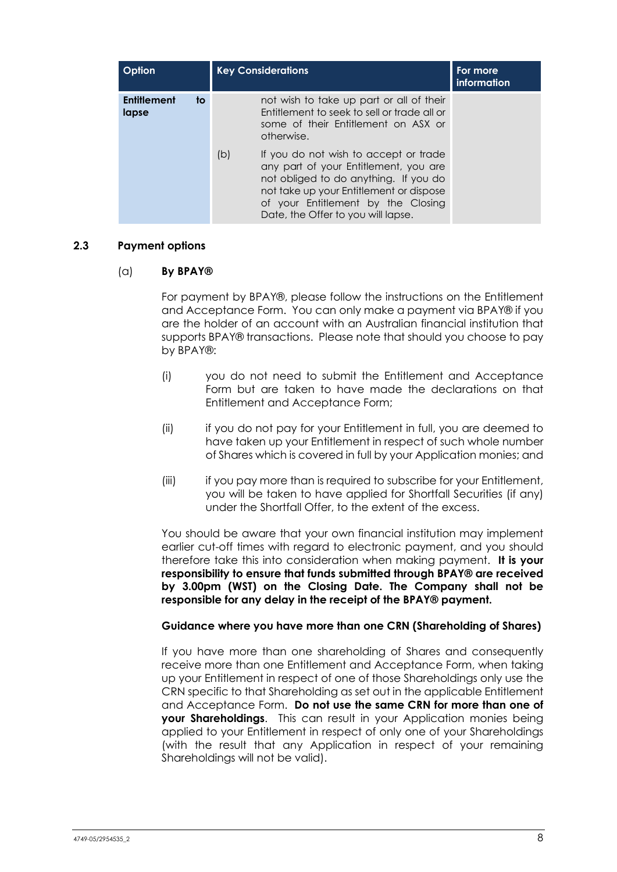| Option                            |     | <b>Key Considerations</b>                                                                                                                                                                                                                      | For more<br>information |
|-----------------------------------|-----|------------------------------------------------------------------------------------------------------------------------------------------------------------------------------------------------------------------------------------------------|-------------------------|
| <b>Entitlement</b><br>to<br>lapse |     | not wish to take up part or all of their<br>Entitlement to seek to sell or trade all or<br>some of their Entitlement on ASX or<br>otherwise.                                                                                                   |                         |
|                                   | (b) | If you do not wish to accept or trade<br>any part of your Entitlement, you are<br>not obliged to do anything. If you do<br>not take up your Entitlement or dispose<br>of your Entitlement by the Closing<br>Date, the Offer to you will lapse. |                         |

## <span id="page-12-0"></span>**2.3 Payment options**

## (a) **By BPAY®**

For payment by BPAY®, please follow the instructions on the Entitlement and Acceptance Form. You can only make a payment via BPAY® if you are the holder of an account with an Australian financial institution that supports BPAY® transactions. Please note that should you choose to pay by BPAY®:

- (i) you do not need to submit the Entitlement and Acceptance Form but are taken to have made the declarations on that Entitlement and Acceptance Form;
- (ii) if you do not pay for your Entitlement in full, you are deemed to have taken up your Entitlement in respect of such whole number of Shares which is covered in full by your Application monies; and
- (iii) if you pay more than is required to subscribe for your Entitlement, you will be taken to have applied for Shortfall Securities (if any) under the Shortfall Offer, to the extent of the excess.

You should be aware that your own financial institution may implement earlier cut-off times with regard to electronic payment, and you should therefore take this into consideration when making payment. **It is your responsibility to ensure that funds submitted through BPAY® are received by 3.00pm (WST) on the Closing Date. The Company shall not be responsible for any delay in the receipt of the BPAY® payment.**

## **Guidance where you have more than one CRN (Shareholding of Shares)**

If you have more than one shareholding of Shares and consequently receive more than one Entitlement and Acceptance Form, when taking up your Entitlement in respect of one of those Shareholdings only use the CRN specific to that Shareholding as set out in the applicable Entitlement and Acceptance Form. **Do not use the same CRN for more than one of your Shareholdings**. This can result in your Application monies being applied to your Entitlement in respect of only one of your Shareholdings (with the result that any Application in respect of your remaining Shareholdings will not be valid).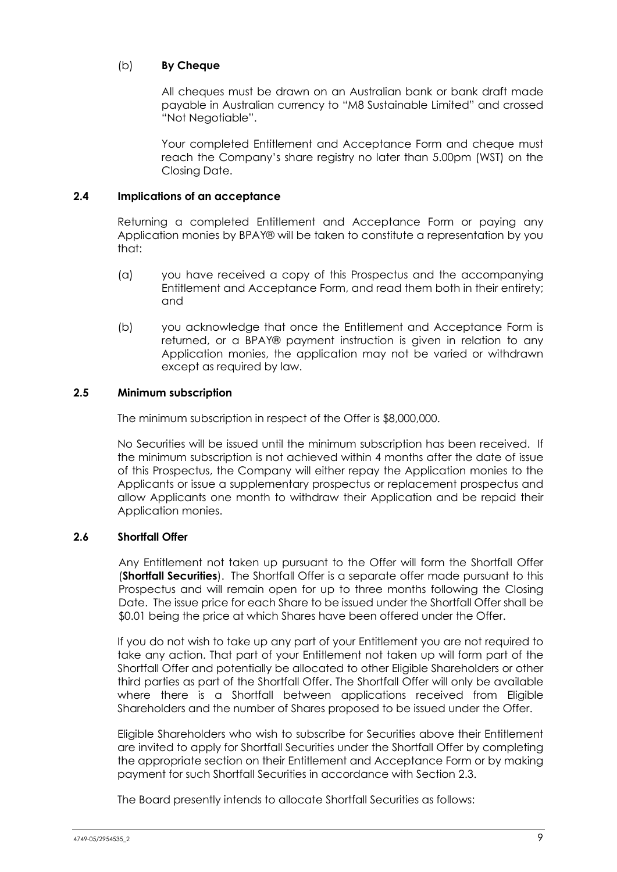## (b) **By Cheque**

All cheques must be drawn on an Australian bank or bank draft made payable in Australian currency to "M8 Sustainable Limited" and crossed "Not Negotiable".

Your completed Entitlement and Acceptance Form and cheque must reach the Company's share registry no later than 5.00pm (WST) on the Closing Date.

## <span id="page-13-0"></span>**2.4 Implications of an acceptance**

Returning a completed Entitlement and Acceptance Form or paying any Application monies by BPAY® will be taken to constitute a representation by you that:

- (a) you have received a copy of this Prospectus and the accompanying Entitlement and Acceptance Form, and read them both in their entirety; and
- (b) you acknowledge that once the Entitlement and Acceptance Form is returned, or a BPAY® payment instruction is given in relation to any Application monies, the application may not be varied or withdrawn except as required by law.

## **2.5 Minimum subscription**

The minimum subscription in respect of the Offer is \$8,000,000.

No Securities will be issued until the minimum subscription has been received. If the minimum subscription is not achieved within 4 months after the date of issue of this Prospectus, the Company will either repay the Application monies to the Applicants or issue a supplementary prospectus or replacement prospectus and allow Applicants one month to withdraw their Application and be repaid their Application monies.

## <span id="page-13-1"></span>**2.6 Shortfall Offer**

Any Entitlement not taken up pursuant to the Offer will form the Shortfall Offer (**Shortfall Securities**). The Shortfall Offer is a separate offer made pursuant to this Prospectus and will remain open for up to three months following the Closing Date. The issue price for each Share to be issued under the Shortfall Offer shall be \$0.01 being the price at which Shares have been offered under the Offer.

If you do not wish to take up any part of your Entitlement you are not required to take any action. That part of your Entitlement not taken up will form part of the Shortfall Offer and potentially be allocated to other Eligible Shareholders or other third parties as part of the Shortfall Offer. The Shortfall Offer will only be available where there is a Shortfall between applications received from Eligible Shareholders and the number of Shares proposed to be issued under the Offer.

Eligible Shareholders who wish to subscribe for Securities above their Entitlement are invited to apply for Shortfall Securities under the Shortfall Offer by completing the appropriate section on their Entitlement and Acceptance Form or by making payment for such Shortfall Securities in accordance with Section [2.3.](#page-12-0)

The Board presently intends to allocate Shortfall Securities as follows: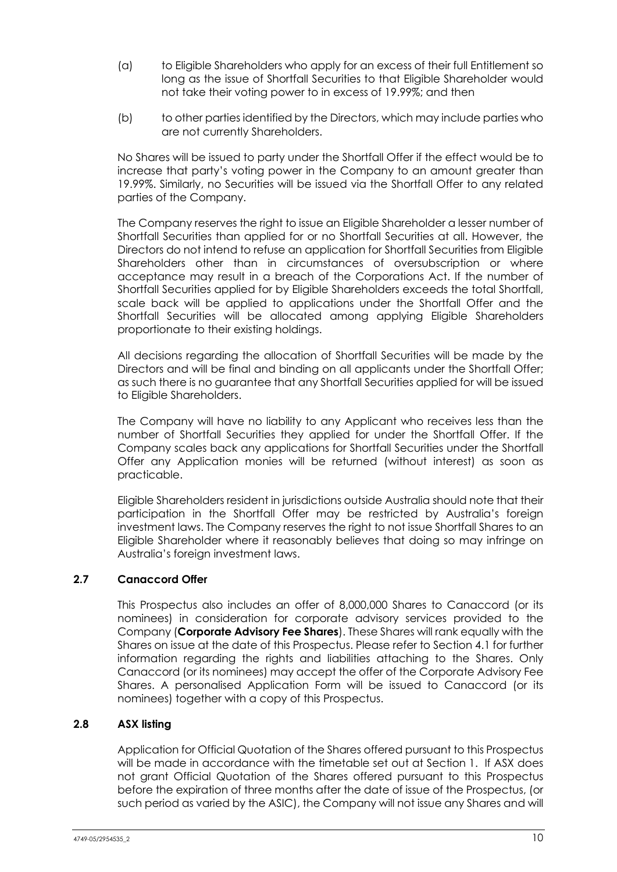- (a) to Eligible Shareholders who apply for an excess of their full Entitlement so long as the issue of Shortfall Securities to that Eligible Shareholder would not take their voting power to in excess of 19.99%; and then
- (b) to other parties identified by the Directors, which may include parties who are not currently Shareholders.

No Shares will be issued to party under the Shortfall Offer if the effect would be to increase that party's voting power in the Company to an amount greater than 19.99%. Similarly, no Securities will be issued via the Shortfall Offer to any related parties of the Company.

The Company reserves the right to issue an Eligible Shareholder a lesser number of Shortfall Securities than applied for or no Shortfall Securities at all. However, the Directors do not intend to refuse an application for Shortfall Securities from Eligible Shareholders other than in circumstances of oversubscription or where acceptance may result in a breach of the Corporations Act. If the number of Shortfall Securities applied for by Eligible Shareholders exceeds the total Shortfall, scale back will be applied to applications under the Shortfall Offer and the Shortfall Securities will be allocated among applying Eligible Shareholders proportionate to their existing holdings.

All decisions regarding the allocation of Shortfall Securities will be made by the Directors and will be final and binding on all applicants under the Shortfall Offer; as such there is no guarantee that any Shortfall Securities applied for will be issued to Eligible Shareholders.

The Company will have no liability to any Applicant who receives less than the number of Shortfall Securities they applied for under the Shortfall Offer. If the Company scales back any applications for Shortfall Securities under the Shortfall Offer any Application monies will be returned (without interest) as soon as practicable.

Eligible Shareholders resident in jurisdictions outside Australia should note that their participation in the Shortfall Offer may be restricted by Australia's foreign investment laws. The Company reserves the right to not issue Shortfall Shares to an Eligible Shareholder where it reasonably believes that doing so may infringe on Australia's foreign investment laws.

## **2.7 Canaccord Offer**

This Prospectus also includes an offer of 8,000,000 Shares to Canaccord (or its nominees) in consideration for corporate advisory services provided to the Company (**Corporate Advisory Fee Shares**). These Shares will rank equally with the Shares on issue at the date of this Prospectus. Please refer to Section [4.1](#page-21-1) for further information regarding the rights and liabilities attaching to the Shares. Only Canaccord (or its nominees) may accept the offer of the Corporate Advisory Fee Shares. A personalised Application Form will be issued to Canaccord (or its nominees) together with a copy of this Prospectus.

## **2.8 ASX listing**

Application for Official Quotation of the Shares offered pursuant to this Prospectus will be made in accordance with the timetable set out at Section 1. If ASX does not grant Official Quotation of the Shares offered pursuant to this Prospectus before the expiration of three months after the date of issue of the Prospectus, (or such period as varied by the ASIC), the Company will not issue any Shares and will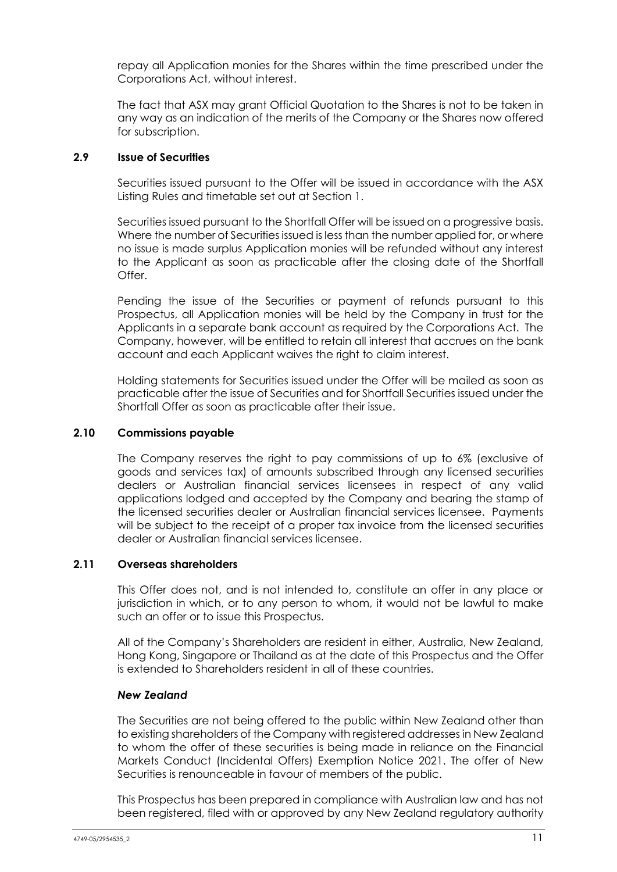repay all Application monies for the Shares within the time prescribed under the Corporations Act, without interest.

The fact that ASX may grant Official Quotation to the Shares is not to be taken in any way as an indication of the merits of the Company or the Shares now offered for subscription.

## **2.9 Issue of Securities**

Securities issued pursuant to the Offer will be issued in accordance with the ASX Listing Rules and timetable set out at Section 1.

Securities issued pursuant to the Shortfall Offer will be issued on a progressive basis. Where the number of Securities issued is less than the number applied for, or where no issue is made surplus Application monies will be refunded without any interest to the Applicant as soon as practicable after the closing date of the Shortfall Offer.

Pending the issue of the Securities or payment of refunds pursuant to this Prospectus, all Application monies will be held by the Company in trust for the Applicants in a separate bank account as required by the Corporations Act. The Company, however, will be entitled to retain all interest that accrues on the bank account and each Applicant waives the right to claim interest.

Holding statements for Securities issued under the Offer will be mailed as soon as practicable after the issue of Securities and for Shortfall Securities issued under the Shortfall Offer as soon as practicable after their issue.

## <span id="page-15-0"></span>**2.10 Commissions payable**

The Company reserves the right to pay commissions of up to 6% (exclusive of goods and services tax) of amounts subscribed through any licensed securities dealers or Australian financial services licensees in respect of any valid applications lodged and accepted by the Company and bearing the stamp of the licensed securities dealer or Australian financial services licensee. Payments will be subject to the receipt of a proper tax invoice from the licensed securities dealer or Australian financial services licensee.

## **2.11 Overseas shareholders**

This Offer does not, and is not intended to, constitute an offer in any place or jurisdiction in which, or to any person to whom, it would not be lawful to make such an offer or to issue this Prospectus.

All of the Company's Shareholders are resident in either, Australia, New Zealand, Hong Kong, Singapore or Thailand as at the date of this Prospectus and the Offer is extended to Shareholders resident in all of these countries.

## *New Zealand*

The Securities are not being offered to the public within New Zealand other than to existing shareholders of the Company with registered addresses in New Zealand to whom the offer of these securities is being made in reliance on the Financial Markets Conduct (Incidental Offers) Exemption Notice 2021. The offer of New Securities is renounceable in favour of members of the public.

This Prospectus has been prepared in compliance with Australian law and has not been registered, filed with or approved by any New Zealand regulatory authority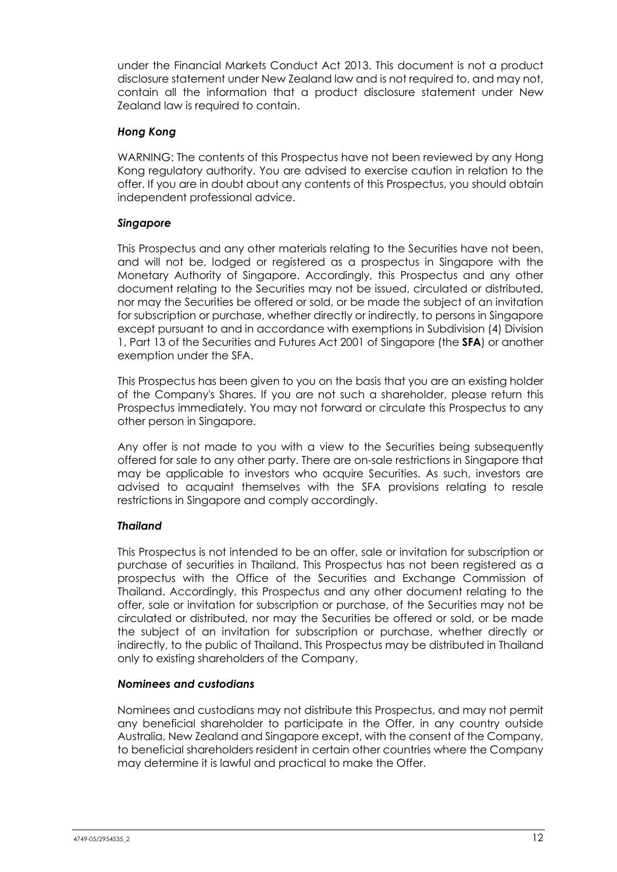under the Financial Markets Conduct Act 2013. This document is not a product disclosure statement under New Zealand law and is not required to, and may not, contain all the information that a product disclosure statement under New Zealand law is required to contain.

## *Hong Kong*

WARNING: The contents of this Prospectus have not been reviewed by any Hong Kong regulatory authority. You are advised to exercise caution in relation to the offer. If you are in doubt about any contents of this Prospectus, you should obtain independent professional advice.

## *Singapore*

This Prospectus and any other materials relating to the Securities have not been, and will not be, lodged or registered as a prospectus in Singapore with the Monetary Authority of Singapore. Accordingly, this Prospectus and any other document relating to the Securities may not be issued, circulated or distributed, nor may the Securities be offered or sold, or be made the subject of an invitation for subscription or purchase, whether directly or indirectly, to persons in Singapore except pursuant to and in accordance with exemptions in Subdivision (4) Division 1, Part 13 of the Securities and Futures Act 2001 of Singapore (the **SFA**) or another exemption under the SFA.

This Prospectus has been given to you on the basis that you are an existing holder of the Company's Shares. If you are not such a shareholder, please return this Prospectus immediately. You may not forward or circulate this Prospectus to any other person in Singapore.

Any offer is not made to you with a view to the Securities being subsequently offered for sale to any other party. There are on-sale restrictions in Singapore that may be applicable to investors who acquire Securities. As such, investors are advised to acquaint themselves with the SFA provisions relating to resale restrictions in Singapore and comply accordingly.

## *Thailand*

This Prospectus is not intended to be an offer, sale or invitation for subscription or purchase of securities in Thailand. This Prospectus has not been registered as a prospectus with the Office of the Securities and Exchange Commission of Thailand. Accordingly, this Prospectus and any other document relating to the offer, sale or invitation for subscription or purchase, of the Securities may not be circulated or distributed, nor may the Securities be offered or sold, or be made the subject of an invitation for subscription or purchase, whether directly or indirectly, to the public of Thailand. This Prospectus may be distributed in Thailand only to existing shareholders of the Company.

## *Nominees and custodians*

Nominees and custodians may not distribute this Prospectus, and may not permit any beneficial shareholder to participate in the Offer, in any country outside Australia, New Zealand and Singapore except, with the consent of the Company, to beneficial shareholders resident in certain other countries where the Company may determine it is lawful and practical to make the Offer.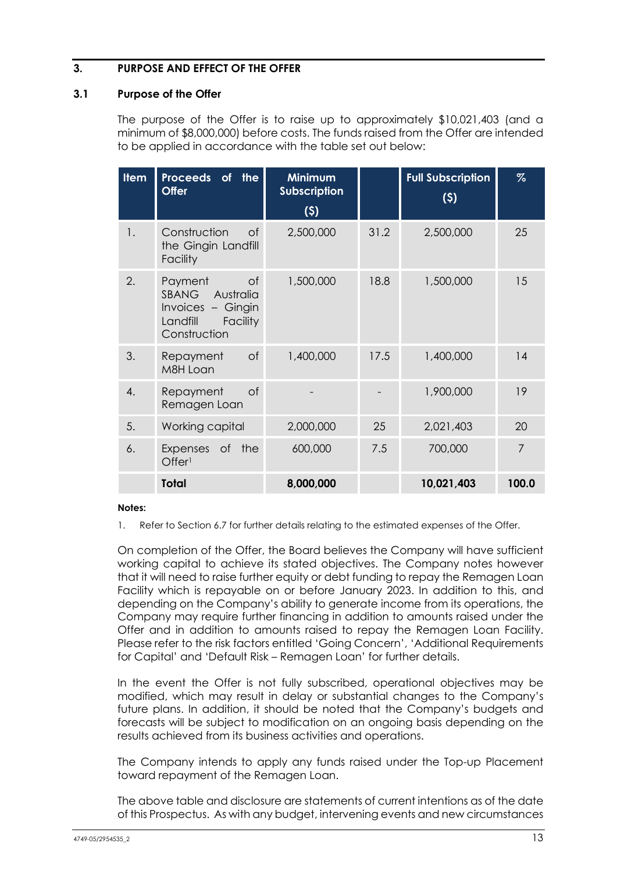## <span id="page-17-0"></span>**3. PURPOSE AND EFFECT OF THE OFFER**

## <span id="page-17-1"></span>**3.1 Purpose of the Offer**

The purpose of the Offer is to raise up to approximately \$10,021,403 (and a minimum of \$8,000,000) before costs. The funds raised from the Offer are intended to be applied in accordance with the table set out below:

| <b>Item</b> | Proceeds of<br>the<br><b>Offer</b>                                                                          | <b>Minimum</b><br><b>Subscription</b><br>(5) |      | <b>Full Subscription</b><br>(5) | $\%$           |
|-------------|-------------------------------------------------------------------------------------------------------------|----------------------------------------------|------|---------------------------------|----------------|
| 1.          | Construction<br>$\circ$ f<br>the Gingin Landfill<br>Facility                                                | 2,500,000                                    | 31.2 | 2,500,000                       | 25             |
| 2.          | <b>of</b><br>Payment<br>SBANG Australia<br>Invoices - Gingin<br><b>Facility</b><br>Landfill<br>Construction | 1,500,000                                    | 18.8 | 1,500,000                       | 15             |
| 3.          | $\circ$ f<br>Repayment<br>M8H Loan                                                                          | 1,400,000                                    | 17.5 | 1,400,000                       | 14             |
| 4.          | Repayment<br><b>of</b><br>Remagen Loan                                                                      |                                              |      | 1,900,000                       | 19             |
| 5.          | Working capital                                                                                             | 2,000,000                                    | 25   | 2,021,403                       | 20             |
| 6.          | of the<br>Expenses<br>Offer <sup>1</sup>                                                                    | 600,000                                      | 7.5  | 700,000                         | $\overline{7}$ |
|             | Total                                                                                                       | 8,000,000                                    |      | 10,021,403                      | 100.0          |

## **Notes:**

1. Refer to Section [6.7](#page-42-0) for further details relating to the estimated expenses of the Offer.

On completion of the Offer, the Board believes the Company will have sufficient working capital to achieve its stated objectives. The Company notes however that it will need to raise further equity or debt funding to repay the Remagen Loan Facility which is repayable on or before January 2023. In addition to this, and depending on the Company's ability to generate income from its operations, the Company may require further financing in addition to amounts raised under the Offer and in addition to amounts raised to repay the Remagen Loan Facility. Please refer to the risk factors entitled 'Going Concern', 'Additional Requirements for Capital' and 'Default Risk – Remagen Loan' for further details.

In the event the Offer is not fully subscribed, operational objectives may be modified, which may result in delay or substantial changes to the Company's future plans. In addition, it should be noted that the Company's budgets and forecasts will be subject to modification on an ongoing basis depending on the results achieved from its business activities and operations.

The Company intends to apply any funds raised under the Top-up Placement toward repayment of the Remagen Loan.

The above table and disclosure are statements of current intentions as of the date of this Prospectus. As with any budget, intervening events and new circumstances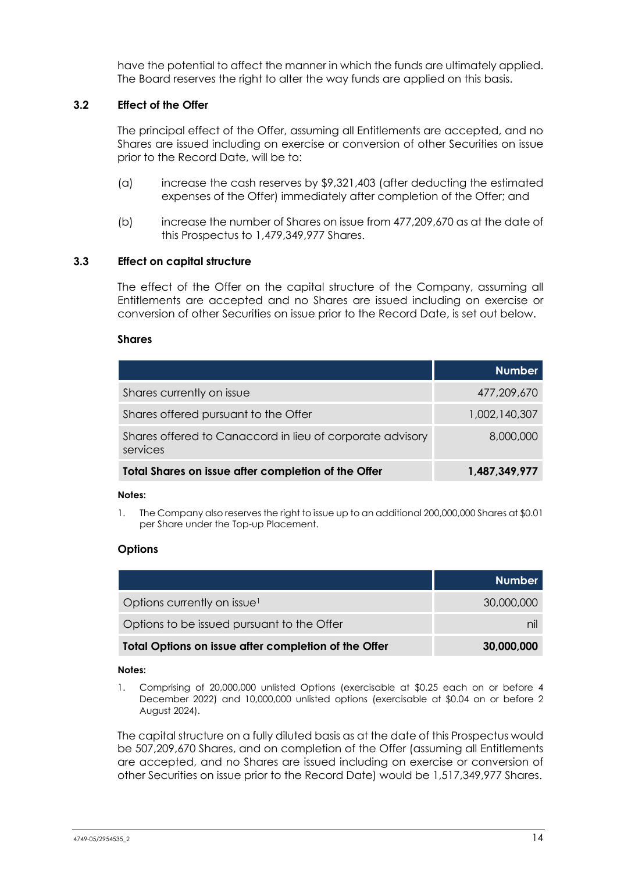have the potential to affect the manner in which the funds are ultimately applied. The Board reserves the right to alter the way funds are applied on this basis.

## **3.2 Effect of the Offer**

The principal effect of the Offer, assuming all Entitlements are accepted, and no Shares are issued including on exercise or conversion of other Securities on issue prior to the Record Date, will be to:

- (a) increase the cash reserves by \$9,321,403 (after deducting the estimated expenses of the Offer) immediately after completion of the Offer; and
- (b) increase the number of Shares on issue from 477,209,670 as at the date of this Prospectus to 1,479,349,977 Shares.

## <span id="page-18-0"></span>**3.3 Effect on capital structure**

The effect of the Offer on the capital structure of the Company, assuming all Entitlements are accepted and no Shares are issued including on exercise or conversion of other Securities on issue prior to the Record Date, is set out below.

## **Shares**

|                                                                       | <b>Number</b> |
|-----------------------------------------------------------------------|---------------|
| Shares currently on issue                                             | 477,209,670   |
| Shares offered pursuant to the Offer                                  | 1,002,140,307 |
| Shares offered to Canaccord in lieu of corporate advisory<br>services | 8,000,000     |
| Total Shares on issue after completion of the Offer                   | 1,487,349,977 |

### **Notes:**

1. The Company also reserves the right to issue up to an additional 200,000,000 Shares at \$0.01 per Share under the Top-up Placement.

## **Options**

|                                                      | Number     |
|------------------------------------------------------|------------|
| Options currently on issue <sup>1</sup>              | 30,000,000 |
| Options to be issued pursuant to the Offer           |            |
| Total Options on issue after completion of the Offer | 30,000,000 |

## **Notes:**

1. Comprising of 20,000,000 unlisted Options (exercisable at \$0.25 each on or before 4 December 2022) and 10,000,000 unlisted options (exercisable at \$0.04 on or before 2 August 2024).

The capital structure on a fully diluted basis as at the date of this Prospectus would be 507,209,670 Shares, and on completion of the Offer (assuming all Entitlements are accepted, and no Shares are issued including on exercise or conversion of other Securities on issue prior to the Record Date) would be 1,517,349,977 Shares.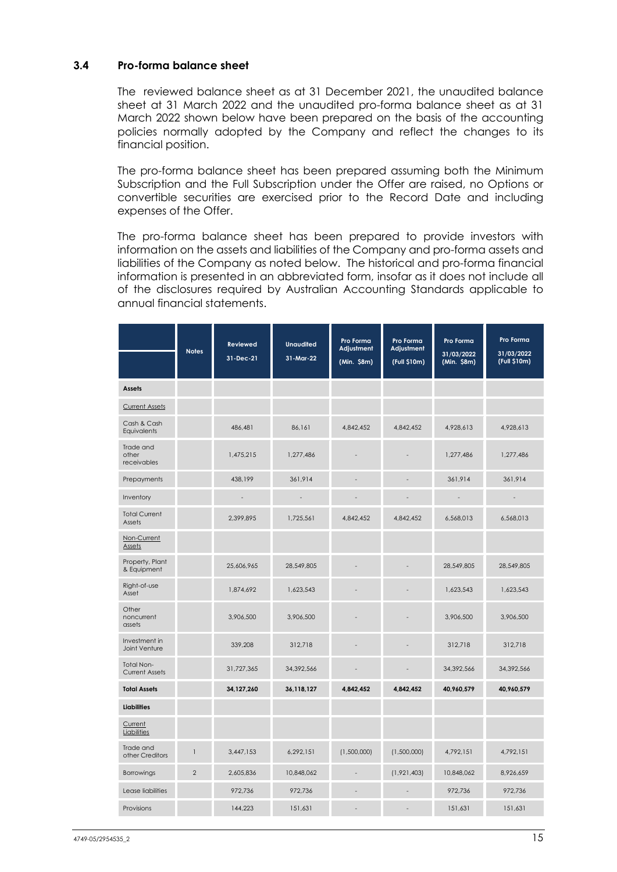## **3.4 Pro-forma balance sheet**

The reviewed balance sheet as at 31 December 2021, the unaudited balance sheet at 31 March 2022 and the unaudited pro-forma balance sheet as at 31 March 2022 shown below have been prepared on the basis of the accounting policies normally adopted by the Company and reflect the changes to its financial position.

The pro-forma balance sheet has been prepared assuming both the Minimum Subscription and the Full Subscription under the Offer are raised, no Options or convertible securities are exercised prior to the Record Date and including expenses of the Offer.

The pro-forma balance sheet has been prepared to provide investors with information on the assets and liabilities of the Company and pro-forma assets and liabilities of the Company as noted below. The historical and pro-forma financial information is presented in an abbreviated form, insofar as it does not include all of the disclosures required by Australian Accounting Standards applicable to annual financial statements.

|                                     | <b>Notes</b>   | <b>Reviewed</b><br>31-Dec-21 | <b>Unaudited</b><br>31-Mar-22 | Pro Forma<br>Adjustment<br>(Min. \$8m) | Pro Forma<br>Adjustment<br>(Full \$10m) | Pro Forma<br>31/03/2022<br>(Min. \$8m) | Pro Forma<br>31/03/2022<br>(Full \$10m) |
|-------------------------------------|----------------|------------------------------|-------------------------------|----------------------------------------|-----------------------------------------|----------------------------------------|-----------------------------------------|
| <b>Assets</b>                       |                |                              |                               |                                        |                                         |                                        |                                         |
| <b>Current Assets</b>               |                |                              |                               |                                        |                                         |                                        |                                         |
| Cash & Cash<br>Equivalents          |                | 486,481                      | 86,161                        | 4,842,452                              | 4,842,452                               | 4,928,613                              | 4,928,613                               |
| Trade and<br>other<br>receivables   |                | 1,475,215                    | 1,277,486                     |                                        |                                         | 1,277,486                              | 1,277,486                               |
| Prepayments                         |                | 438,199                      | 361,914                       |                                        |                                         | 361,914                                | 361,914                                 |
| Inventory                           |                | $\qquad \qquad =$            | $\overline{\phantom{a}}$      | $\overline{a}$                         | $\overline{a}$                          | $\overline{\phantom{a}}$               | $\overline{\phantom{a}}$                |
| <b>Total Current</b><br>Assets      |                | 2,399,895                    | 1,725,561                     | 4,842,452                              | 4,842,452                               | 6,568,013                              | 6,568,013                               |
| Non-Current<br>Assets               |                |                              |                               |                                        |                                         |                                        |                                         |
| Property, Plant<br>& Equipment      |                | 25,606,965                   | 28,549,805                    |                                        |                                         | 28,549,805                             | 28,549,805                              |
| Right-of-use<br>Asset               |                | 1,874,692                    | 1,623,543                     |                                        |                                         | 1,623,543                              | 1,623,543                               |
| Other<br>noncurrent<br>assets       |                | 3,906,500                    | 3,906,500                     |                                        |                                         | 3,906,500                              | 3,906,500                               |
| Investment in<br>Joint Venture      |                | 339,208                      | 312,718                       |                                        |                                         | 312,718                                | 312,718                                 |
| Total Non-<br><b>Current Assets</b> |                | 31,727,365                   | 34,392,566                    |                                        |                                         | 34,392,566                             | 34,392,566                              |
| <b>Total Assets</b>                 |                | 34,127,260                   | 36,118,127                    | 4,842,452                              | 4,842,452                               | 40,960,579                             | 40,960,579                              |
| <b>Liabilities</b>                  |                |                              |                               |                                        |                                         |                                        |                                         |
| Current<br>Liabilities              |                |                              |                               |                                        |                                         |                                        |                                         |
| Trade and<br>other Creditors        | $\mathbf{1}$   | 3,447,153                    | 6,292,151                     | (1,500,000)                            | (1,500,000)                             | 4,792,151                              | 4,792,151                               |
| <b>Borrowings</b>                   | $\overline{2}$ | 2,605,836                    | 10,848,062                    | $\overline{a}$                         | (1,921,403)                             | 10,848,062                             | 8,926,659                               |
| Lease liabilities                   |                | 972,736                      | 972,736                       | ٠                                      |                                         | 972.736                                | 972.736                                 |
| Provisions                          |                | 144,223                      | 151,631                       | ٠                                      |                                         | 151,631                                | 151,631                                 |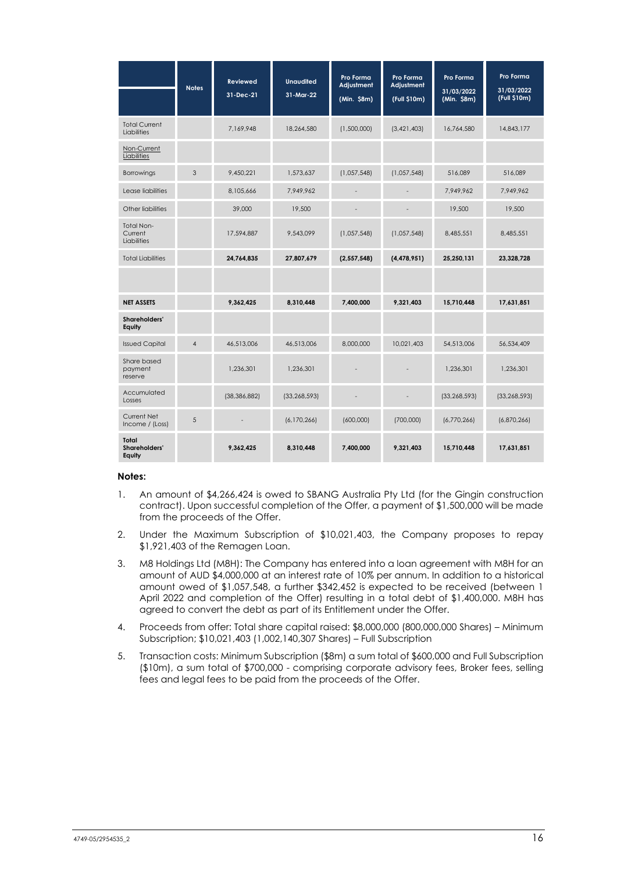|                                             | <b>Notes</b>   | <b>Reviewed</b> | <b>Unaudited</b> | Pro Forma<br>Adjustment  | Pro Forma<br>Adjustment | Pro Forma<br>31/03/2022 | <b>Pro Forma</b><br>31/03/2022 |
|---------------------------------------------|----------------|-----------------|------------------|--------------------------|-------------------------|-------------------------|--------------------------------|
|                                             |                | 31-Dec-21       | 31-Mar-22        | (Min. \$8m)              | (Full \$10m)            | (Min. \$8m)             | (Full \$10m)                   |
| <b>Total Current</b><br>Liabilities         |                | 7.169.948       | 18,264,580       | (1,500,000)              | (3,421,403)             | 16,764,580              | 14,843,177                     |
| Non-Current<br>Liabilities                  |                |                 |                  |                          |                         |                         |                                |
| Borrowings                                  | 3              | 9,450,221       | 1,573,637        | (1,057,548)              | (1,057,548)             | 516,089                 | 516,089                        |
| Lease liabilities                           |                | 8,105,666       | 7,949,962        | $\overline{\phantom{a}}$ |                         | 7,949,962               | 7,949,962                      |
| Other liabilities                           |                | 39,000          | 19,500           | $\overline{\phantom{a}}$ |                         | 19,500                  | 19,500                         |
| <b>Total Non-</b><br>Current<br>Liabilities |                | 17,594,887      | 9.543.099        | (1,057,548)              | (1,057,548)             | 8.485.551               | 8,485,551                      |
| <b>Total Liabilities</b>                    |                | 24,764,835      | 27,807,679       | (2, 557, 548)            | (4,478,951)             | 25,250,131              | 23,328,728                     |
|                                             |                |                 |                  |                          |                         |                         |                                |
| <b>NET ASSETS</b>                           |                | 9,362,425       | 8,310,448        | 7,400,000                | 9,321,403               | 15,710,448              | 17,631,851                     |
| <b>Shareholders'</b><br>Equity              |                |                 |                  |                          |                         |                         |                                |
| <b>Issued Capital</b>                       | $\overline{4}$ | 46.513.006      | 46,513,006       | 8,000,000                | 10.021.403              | 54.513.006              | 56.534.409                     |
| Share based<br>payment<br>reserve           |                | 1,236,301       | 1,236,301        |                          |                         | 1,236,301               | 1,236,301                      |
| Accumulated<br>Losses                       |                | (38, 386, 882)  | (33, 268, 593)   | $\overline{\phantom{a}}$ |                         | (33, 268, 593)          | (33, 268, 593)                 |
| Current Net<br>Income / (Loss)              | 5              |                 | (6,170,266)      | (600,000)                | (700,000)               | (6,770,266)             | (6,870,266)                    |
| Total<br>Shareholders'<br>Equity            |                | 9.362.425       | 8.310.448        | 7.400.000                | 9.321.403               | 15.710.448              | 17.631.851                     |

#### **Notes:**

- 1. An amount of \$4,266,424 is owed to SBANG Australia Pty Ltd (for the Gingin construction contract). Upon successful completion of the Offer, a payment of \$1,500,000 will be made from the proceeds of the Offer.
- 2. Under the Maximum Subscription of \$10,021,403, the Company proposes to repay \$1,921,403 of the Remagen Loan.
- 3. M8 Holdings Ltd (M8H): The Company has entered into a loan agreement with M8H for an amount of AUD \$4,000,000 at an interest rate of 10% per annum. In addition to a historical amount owed of \$1,057,548, a further \$342,452 is expected to be received (between 1 April 2022 and completion of the Offer) resulting in a total debt of \$1,400,000. M8H has agreed to convert the debt as part of its Entitlement under the Offer.
- 4. Proceeds from offer: Total share capital raised: \$8,000,000 (800,000,000 Shares) Minimum Subscription; \$10,021,403 (1,002,140,307 Shares) – Full Subscription
- 5. Transaction costs: Minimum Subscription (\$8m) a sum total of \$600,000 and Full Subscription (\$10m), a sum total of \$700,000 - comprising corporate advisory fees, Broker fees, selling fees and legal fees to be paid from the proceeds of the Offer.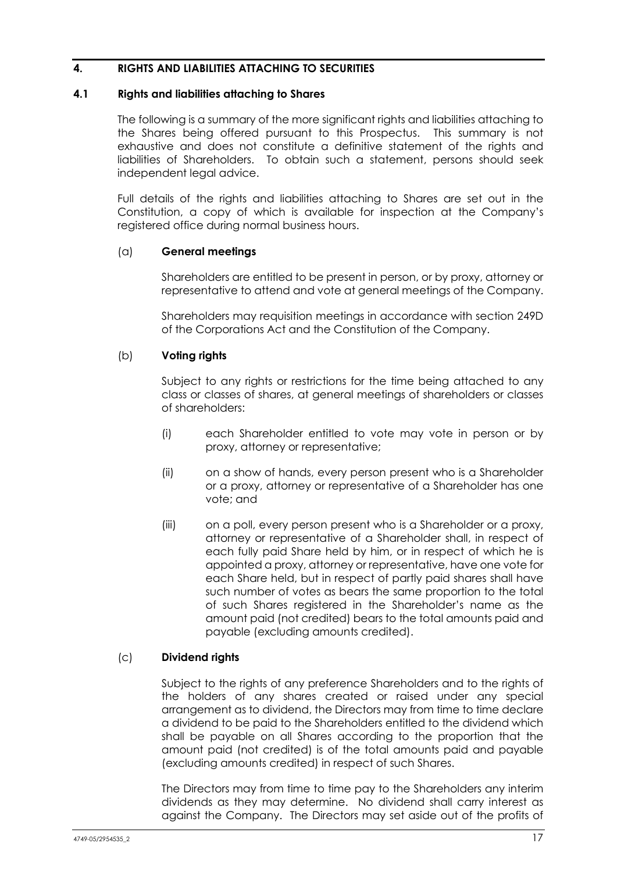## <span id="page-21-0"></span>**4. RIGHTS AND LIABILITIES ATTACHING TO SECURITIES**

## <span id="page-21-1"></span>**4.1 Rights and liabilities attaching to Shares**

The following is a summary of the more significant rights and liabilities attaching to the Shares being offered pursuant to this Prospectus. This summary is not exhaustive and does not constitute a definitive statement of the rights and liabilities of Shareholders. To obtain such a statement, persons should seek independent legal advice.

Full details of the rights and liabilities attaching to Shares are set out in the Constitution, a copy of which is available for inspection at the Company's registered office during normal business hours.

## (a) **General meetings**

Shareholders are entitled to be present in person, or by proxy, attorney or representative to attend and vote at general meetings of the Company.

Shareholders may requisition meetings in accordance with section 249D of the Corporations Act and the Constitution of the Company.

## (b) **Voting rights**

Subject to any rights or restrictions for the time being attached to any class or classes of shares, at general meetings of shareholders or classes of shareholders:

- (i) each Shareholder entitled to vote may vote in person or by proxy, attorney or representative;
- (ii) on a show of hands, every person present who is a Shareholder or a proxy, attorney or representative of a Shareholder has one vote; and
- (iii) on a poll, every person present who is a Shareholder or a proxy, attorney or representative of a Shareholder shall, in respect of each fully paid Share held by him, or in respect of which he is appointed a proxy, attorney or representative, have one vote for each Share held, but in respect of partly paid shares shall have such number of votes as bears the same proportion to the total of such Shares registered in the Shareholder's name as the amount paid (not credited) bears to the total amounts paid and payable (excluding amounts credited).

## (c) **Dividend rights**

Subject to the rights of any preference Shareholders and to the rights of the holders of any shares created or raised under any special arrangement as to dividend, the Directors may from time to time declare a dividend to be paid to the Shareholders entitled to the dividend which shall be payable on all Shares according to the proportion that the amount paid (not credited) is of the total amounts paid and payable (excluding amounts credited) in respect of such Shares.

The Directors may from time to time pay to the Shareholders any interim dividends as they may determine. No dividend shall carry interest as against the Company. The Directors may set aside out of the profits of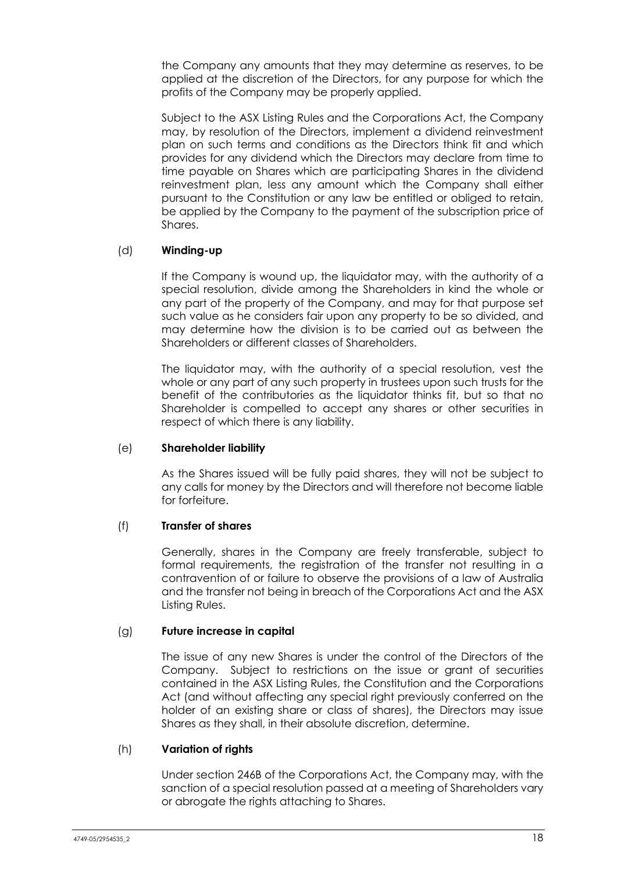the Company any amounts that they may determine as reserves, to be applied at the discretion of the Directors, for any purpose for which the profits of the Company may be properly applied.

Subject to the ASX Listing Rules and the Corporations Act, the Company may, by resolution of the Directors, implement a dividend reinvestment plan on such terms and conditions as the Directors think fit and which provides for any dividend which the Directors may declare from time to time payable on Shares which are participating Shares in the dividend reinvestment plan, less any amount which the Company shall either pursuant to the Constitution or any law be entitled or obliged to retain, be applied by the Company to the payment of the subscription price of Shares.

## (d) **Winding-up**

If the Company is wound up, the liquidator may, with the authority of a special resolution, divide among the Shareholders in kind the whole or any part of the property of the Company, and may for that purpose set such value as he considers fair upon any property to be so divided, and may determine how the division is to be carried out as between the Shareholders or different classes of Shareholders.

The liquidator may, with the authority of a special resolution, vest the whole or any part of any such property in trustees upon such trusts for the benefit of the contributories as the liquidator thinks fit, but so that no Shareholder is compelled to accept any shares or other securities in respect of which there is any liability.

## (e) **Shareholder liability**

As the Shares issued will be fully paid shares, they will not be subject to any calls for money by the Directors and will therefore not become liable for forfeiture.

## (f) **Transfer of shares**

Generally, shares in the Company are freely transferable, subject to formal requirements, the registration of the transfer not resulting in a contravention of or failure to observe the provisions of a law of Australia and the transfer not being in breach of the Corporations Act and the ASX Listing Rules.

## (g) **Future increase in capital**

The issue of any new Shares is under the control of the Directors of the Company. Subject to restrictions on the issue or grant of securities contained in the ASX Listing Rules, the Constitution and the Corporations Act (and without affecting any special right previously conferred on the holder of an existing share or class of shares), the Directors may issue Shares as they shall, in their absolute discretion, determine.

## (h) **Variation of rights**

Under section 246B of the Corporations Act, the Company may, with the sanction of a special resolution passed at a meeting of Shareholders vary or abrogate the rights attaching to Shares.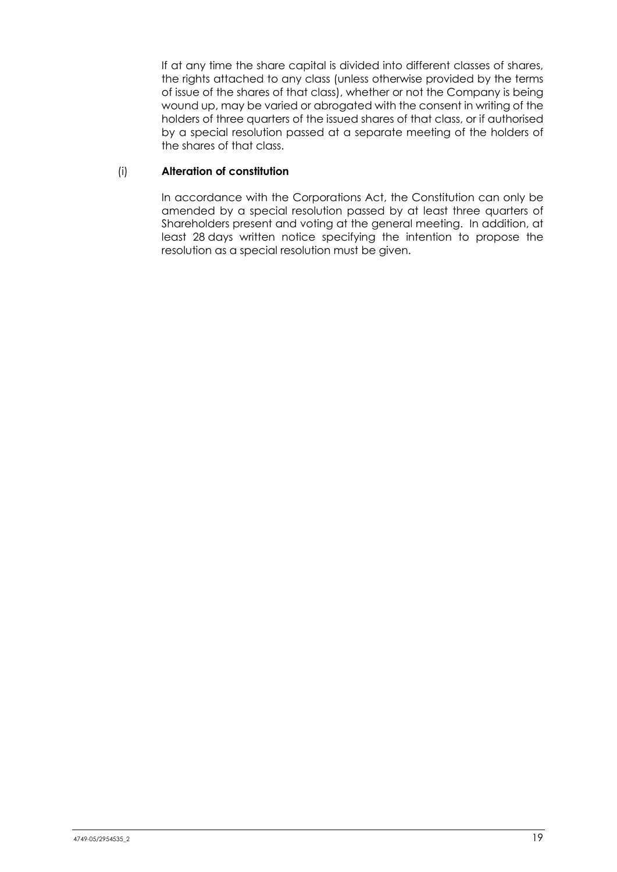If at any time the share capital is divided into different classes of shares, the rights attached to any class (unless otherwise provided by the terms of issue of the shares of that class), whether or not the Company is being wound up, may be varied or abrogated with the consent in writing of the holders of three quarters of the issued shares of that class, or if authorised by a special resolution passed at a separate meeting of the holders of the shares of that class.

## (i) **Alteration of constitution**

In accordance with the Corporations Act, the Constitution can only be amended by a special resolution passed by at least three quarters of Shareholders present and voting at the general meeting. In addition, at least 28 days written notice specifying the intention to propose the resolution as a special resolution must be given.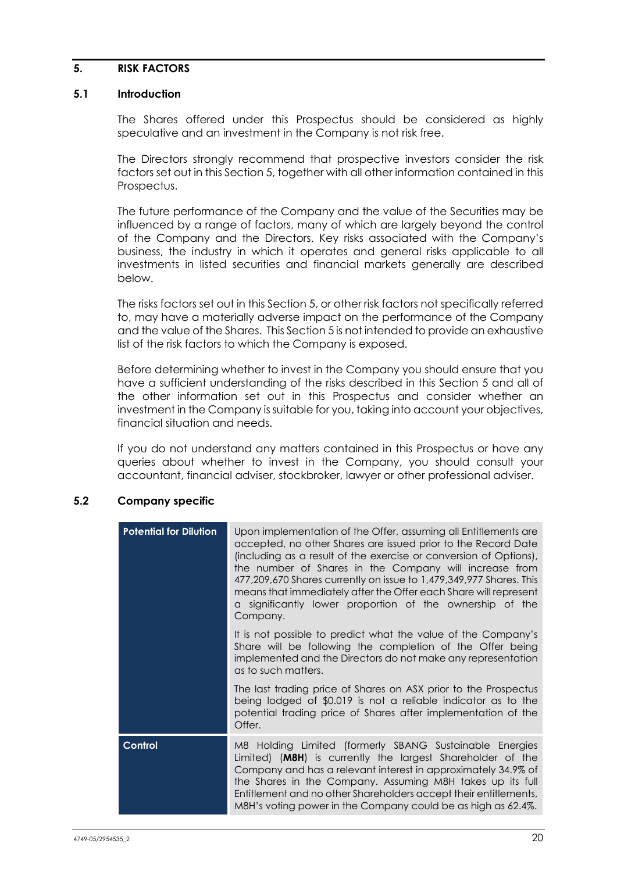## <span id="page-24-0"></span>**5. RISK FACTORS**

## **5.1 Introduction**

The Shares offered under this Prospectus should be considered as highly speculative and an investment in the Company is not risk free.

The Directors strongly recommend that prospective investors consider the risk factors set out in this Section 5, together with all other information contained in this Prospectus.

The future performance of the Company and the value of the Securities may be influenced by a range of factors, many of which are largely beyond the control of the Company and the Directors. Key risks associated with the Company's business, the industry in which it operates and general risks applicable to all investments in listed securities and financial markets generally are described below.

The risks factors set out in this Section 5, or other risk factors not specifically referred to, may have a materially adverse impact on the performance of the Company and the value of the Shares. This Section 5 is not intended to provide an exhaustive list of the risk factors to which the Company is exposed.

Before determining whether to invest in the Company you should ensure that you have a sufficient understanding of the risks described in this Section 5 and all of the other information set out in this Prospectus and consider whether an investment in the Company is suitable for you, taking into account your objectives, financial situation and needs.

If you do not understand any matters contained in this Prospectus or have any queries about whether to invest in the Company, you should consult your accountant, financial adviser, stockbroker, lawyer or other professional adviser.

## **5.2 Company specific**

| <b>Potential for Dilution</b> | Upon implementation of the Offer, assuming all Entitlements are<br>accepted, no other Shares are issued prior to the Record Date<br>(including as a result of the exercise or conversion of Options),<br>the number of Shares in the Company will increase from<br>477,209,670 Shares currently on issue to 1,479,349,977 Shares. This<br>means that immediately after the Offer each Share will represent<br>a significantly lower proportion of the ownership of the<br>Company. |
|-------------------------------|------------------------------------------------------------------------------------------------------------------------------------------------------------------------------------------------------------------------------------------------------------------------------------------------------------------------------------------------------------------------------------------------------------------------------------------------------------------------------------|
|                               | It is not possible to predict what the value of the Company's<br>Share will be following the completion of the Offer being<br>implemented and the Directors do not make any representation<br>as to such matters.                                                                                                                                                                                                                                                                  |
|                               | The last trading price of Shares on ASX prior to the Prospectus<br>being lodged of \$0.019 is not a reliable indicator as to the<br>potential trading price of Shares after implementation of the<br>Offer.                                                                                                                                                                                                                                                                        |
| Control                       | M8 Holding Limited (formerly SBANG Sustainable Energies<br>Limited) (M8H) is currently the largest Shareholder of the<br>Company and has a relevant interest in approximately 34.9% of<br>the Shares in the Company. Assuming M8H takes up its full<br>Entitlement and no other Shareholders accept their entitlements,<br>M8H's voting power in the Company could be as high as 62.4%.                                                                                            |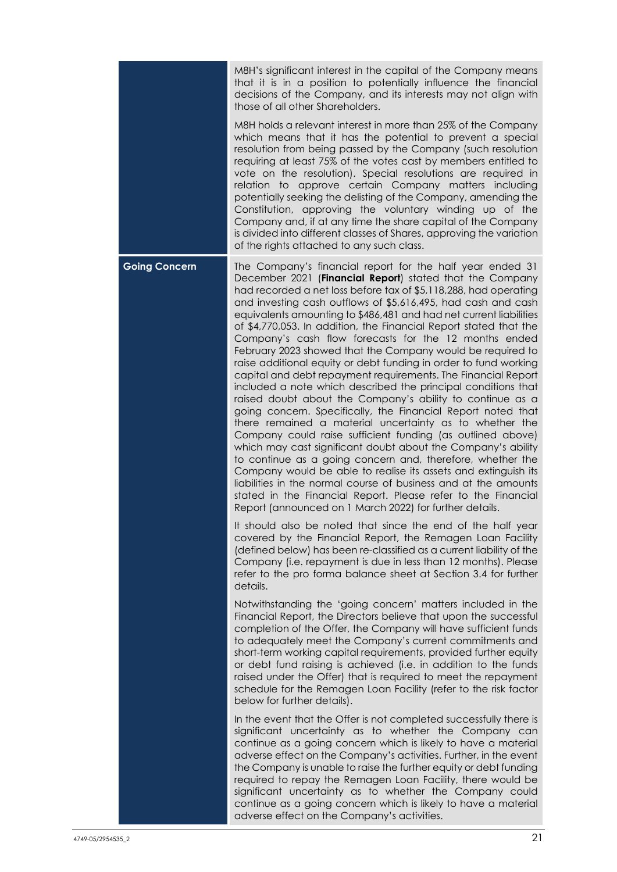|                      | M8H's significant interest in the capital of the Company means<br>that it is in a position to potentially influence the financial<br>decisions of the Company, and its interests may not align with<br>those of all other Shareholders.                                                                                                                                                                                                                                                                                                                                                                                                                                                                                                                                                                                                                                                                                                                                                                                                                                                                                                                                                                                                                                                                                                                                                 |
|----------------------|-----------------------------------------------------------------------------------------------------------------------------------------------------------------------------------------------------------------------------------------------------------------------------------------------------------------------------------------------------------------------------------------------------------------------------------------------------------------------------------------------------------------------------------------------------------------------------------------------------------------------------------------------------------------------------------------------------------------------------------------------------------------------------------------------------------------------------------------------------------------------------------------------------------------------------------------------------------------------------------------------------------------------------------------------------------------------------------------------------------------------------------------------------------------------------------------------------------------------------------------------------------------------------------------------------------------------------------------------------------------------------------------|
|                      | M8H holds a relevant interest in more than 25% of the Company<br>which means that it has the potential to prevent a special<br>resolution from being passed by the Company (such resolution<br>requiring at least 75% of the votes cast by members entitled to<br>vote on the resolution). Special resolutions are required in<br>relation to approve certain Company matters including<br>potentially seeking the delisting of the Company, amending the<br>Constitution, approving the voluntary winding up of the<br>Company and, if at any time the share capital of the Company<br>is divided into different classes of Shares, approving the variation<br>of the rights attached to any such class.                                                                                                                                                                                                                                                                                                                                                                                                                                                                                                                                                                                                                                                                               |
| <b>Going Concern</b> | The Company's financial report for the half year ended 31<br>December 2021 (Financial Report) stated that the Company<br>had recorded a net loss before tax of \$5,118,288, had operating<br>and investing cash outflows of \$5,616,495, had cash and cash<br>equivalents amounting to \$486,481 and had net current liabilities<br>of \$4,770,053. In addition, the Financial Report stated that the<br>Company's cash flow forecasts for the 12 months ended<br>February 2023 showed that the Company would be required to<br>raise additional equity or debt funding in order to fund working<br>capital and debt repayment requirements. The Financial Report<br>included a note which described the principal conditions that<br>raised doubt about the Company's ability to continue as a<br>going concern. Specifically, the Financial Report noted that<br>there remained a material uncertainty as to whether the<br>Company could raise sufficient funding (as outlined above)<br>which may cast significant doubt about the Company's ability<br>to continue as a going concern and, therefore, whether the<br>Company would be able to realise its assets and extinguish its<br>liabilities in the normal course of business and at the amounts<br>stated in the Financial Report. Please refer to the Financial<br>Report (announced on 1 March 2022) for further details. |
|                      | It should also be noted that since the end of the half year<br>covered by the Financial Report, the Remagen Loan Facility<br>(defined below) has been re-classified as a current liability of the<br>Company (i.e. repayment is due in less than 12 months). Please<br>refer to the pro forma balance sheet at Section 3.4 for further<br>details.                                                                                                                                                                                                                                                                                                                                                                                                                                                                                                                                                                                                                                                                                                                                                                                                                                                                                                                                                                                                                                      |
|                      | Notwithstanding the 'going concern' matters included in the<br>Financial Report, the Directors believe that upon the successful<br>completion of the Offer, the Company will have sufficient funds<br>to adequately meet the Company's current commitments and<br>short-term working capital requirements, provided further equity<br>or debt fund raising is achieved (i.e. in addition to the funds<br>raised under the Offer) that is required to meet the repayment<br>schedule for the Remagen Loan Facility (refer to the risk factor<br>below for further details).                                                                                                                                                                                                                                                                                                                                                                                                                                                                                                                                                                                                                                                                                                                                                                                                              |
|                      | In the event that the Offer is not completed successfully there is<br>significant uncertainty as to whether the Company can<br>continue as a going concern which is likely to have a material<br>adverse effect on the Company's activities. Further, in the event<br>the Company is unable to raise the further equity or debt funding<br>required to repay the Remagen Loan Facility, there would be<br>significant uncertainty as to whether the Company could<br>continue as a going concern which is likely to have a material<br>adverse effect on the Company's activities.                                                                                                                                                                                                                                                                                                                                                                                                                                                                                                                                                                                                                                                                                                                                                                                                      |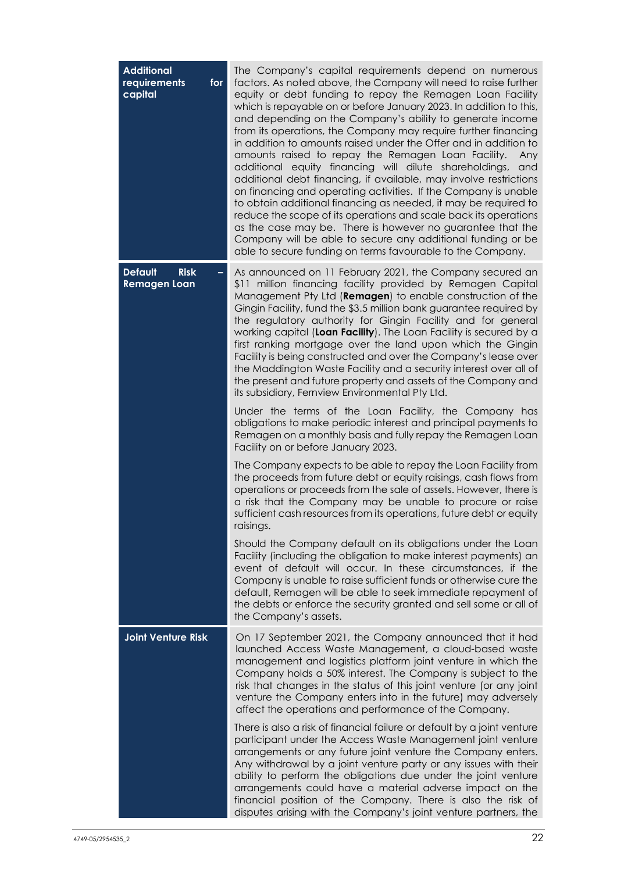| <b>Additional</b><br>requirements<br>for<br>capital       | The Company's capital requirements depend on numerous<br>factors. As noted above, the Company will need to raise further<br>equity or debt funding to repay the Remagen Loan Facility<br>which is repayable on or before January 2023. In addition to this,<br>and depending on the Company's ability to generate income<br>from its operations, the Company may require further financing<br>in addition to amounts raised under the Offer and in addition to<br>amounts raised to repay the Remagen Loan Facility.<br>Any<br>additional equity financing will dilute shareholdings,<br>and<br>additional debt financing, if available, may involve restrictions<br>on financing and operating activities. If the Company is unable<br>to obtain additional financing as needed, it may be required to<br>reduce the scope of its operations and scale back its operations<br>as the case may be. There is however no guarantee that the<br>Company will be able to secure any additional funding or be<br>able to secure funding on terms favourable to the Company. |
|-----------------------------------------------------------|------------------------------------------------------------------------------------------------------------------------------------------------------------------------------------------------------------------------------------------------------------------------------------------------------------------------------------------------------------------------------------------------------------------------------------------------------------------------------------------------------------------------------------------------------------------------------------------------------------------------------------------------------------------------------------------------------------------------------------------------------------------------------------------------------------------------------------------------------------------------------------------------------------------------------------------------------------------------------------------------------------------------------------------------------------------------|
| <b>Risk</b><br><b>Default</b><br>-<br><b>Remagen Loan</b> | As announced on 11 February 2021, the Company secured an<br>\$11 million financing facility provided by Remagen Capital<br>Management Pty Ltd (Remagen) to enable construction of the<br>Gingin Facility, fund the \$3.5 million bank guarantee required by<br>the regulatory authority for Gingin Facility and for general<br>working capital (Loan Facility). The Loan Facility is secured by a<br>first ranking mortgage over the land upon which the Gingin<br>Facility is being constructed and over the Company's lease over<br>the Maddington Waste Facility and a security interest over all of<br>the present and future property and assets of the Company and<br>its subsidiary, Fernview Environmental Pty Ltd.                                                                                                                                                                                                                                                                                                                                            |
|                                                           | Under the terms of the Loan Facility, the Company has<br>obligations to make periodic interest and principal payments to<br>Remagen on a monthly basis and fully repay the Remagen Loan<br>Facility on or before January 2023.                                                                                                                                                                                                                                                                                                                                                                                                                                                                                                                                                                                                                                                                                                                                                                                                                                         |
|                                                           | The Company expects to be able to repay the Loan Facility from<br>the proceeds from future debt or equity raisings, cash flows from<br>operations or proceeds from the sale of assets. However, there is<br>a risk that the Company may be unable to procure or raise<br>sufficient cash resources from its operations, future debt or equity<br>raisings.                                                                                                                                                                                                                                                                                                                                                                                                                                                                                                                                                                                                                                                                                                             |
|                                                           | Should the Company default on its obligations under the Loan<br>Facility (including the obligation to make interest payments) an<br>event of default will occur. In these circumstances, if the<br>Company is unable to raise sufficient funds or otherwise cure the<br>default, Remagen will be able to seek immediate repayment of<br>the debts or enforce the security granted and sell some or all of<br>the Company's assets.                                                                                                                                                                                                                                                                                                                                                                                                                                                                                                                                                                                                                                     |
| <b>Joint Venture Risk</b>                                 | On 17 September 2021, the Company announced that it had<br>launched Access Waste Management, a cloud-based waste<br>management and logistics platform joint venture in which the<br>Company holds a 50% interest. The Company is subject to the<br>risk that changes in the status of this joint venture (or any joint<br>venture the Company enters into in the future) may adversely<br>affect the operations and performance of the Company.                                                                                                                                                                                                                                                                                                                                                                                                                                                                                                                                                                                                                        |
|                                                           | There is also a risk of financial failure or default by a joint venture<br>participant under the Access Waste Management joint venture<br>arrangements or any future joint venture the Company enters.<br>Any withdrawal by a joint venture party or any issues with their<br>ability to perform the obligations due under the joint venture<br>arrangements could have a material adverse impact on the<br>financial position of the Company. There is also the risk of<br>disputes arising with the Company's joint venture partners, the                                                                                                                                                                                                                                                                                                                                                                                                                                                                                                                            |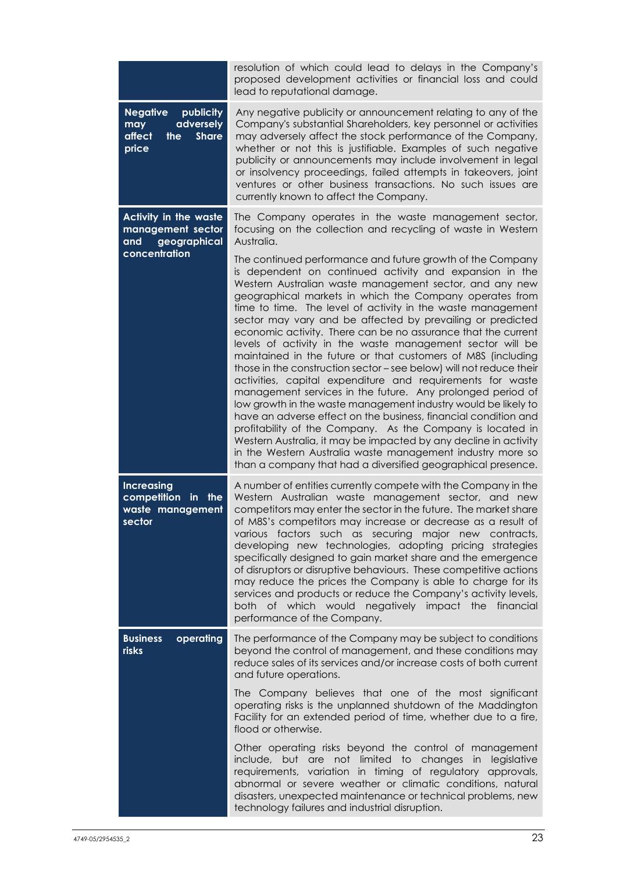|                                                                                            | resolution of which could lead to delays in the Company's<br>proposed development activities or financial loss and could<br>lead to reputational damage.                                                                                                                                                                                                                                                                                                                                                                                                                                                                                                                                                                                                                                                                                                                                                                                                                                                                                                                                                                                                                       |
|--------------------------------------------------------------------------------------------|--------------------------------------------------------------------------------------------------------------------------------------------------------------------------------------------------------------------------------------------------------------------------------------------------------------------------------------------------------------------------------------------------------------------------------------------------------------------------------------------------------------------------------------------------------------------------------------------------------------------------------------------------------------------------------------------------------------------------------------------------------------------------------------------------------------------------------------------------------------------------------------------------------------------------------------------------------------------------------------------------------------------------------------------------------------------------------------------------------------------------------------------------------------------------------|
| <b>Negative</b><br>publicity<br>adversely<br>may<br>affect<br>the<br><b>Share</b><br>price | Any negative publicity or announcement relating to any of the<br>Company's substantial Shareholders, key personnel or activities<br>may adversely affect the stock performance of the Company,<br>whether or not this is justifiable. Examples of such negative<br>publicity or announcements may include involvement in legal<br>or insolvency proceedings, failed attempts in takeovers, joint<br>ventures or other business transactions. No such issues are<br>currently known to affect the Company.                                                                                                                                                                                                                                                                                                                                                                                                                                                                                                                                                                                                                                                                      |
| <b>Activity in the waste</b><br>management sector<br>geographical<br>and                   | The Company operates in the waste management sector,<br>focusing on the collection and recycling of waste in Western<br>Australia.                                                                                                                                                                                                                                                                                                                                                                                                                                                                                                                                                                                                                                                                                                                                                                                                                                                                                                                                                                                                                                             |
| concentration                                                                              | The continued performance and future growth of the Company<br>is dependent on continued activity and expansion in the<br>Western Australian waste management sector, and any new<br>geographical markets in which the Company operates from<br>time to time. The level of activity in the waste management<br>sector may vary and be affected by prevailing or predicted<br>economic activity. There can be no assurance that the current<br>levels of activity in the waste management sector will be<br>maintained in the future or that customers of M8S (including<br>those in the construction sector - see below) will not reduce their<br>activities, capital expenditure and requirements for waste<br>management services in the future. Any prolonged period of<br>low growth in the waste management industry would be likely to<br>have an adverse effect on the business, financial condition and<br>profitability of the Company. As the Company is located in<br>Western Australia, it may be impacted by any decline in activity<br>in the Western Australia waste management industry more so<br>than a company that had a diversified geographical presence. |
| <b>Increasing</b><br>competition<br>in the<br>waste management<br>sector                   | A number of entities currently compete with the Company in the<br>Western Australian waste management sector, and new<br>competitors may enter the sector in the future. The market share<br>of M8S's competitors may increase or decrease as a result of<br>various factors such as securing major new contracts,<br>developing new technologies, adopting pricing strategies<br>specifically designed to gain market share and the emergence<br>of disruptors or disruptive behaviours. These competitive actions<br>may reduce the prices the Company is able to charge for its<br>services and products or reduce the Company's activity levels,<br>both of which would negatively impact the financial<br>performance of the Company.                                                                                                                                                                                                                                                                                                                                                                                                                                     |
| operating<br><b>Business</b><br>risks                                                      | The performance of the Company may be subject to conditions<br>beyond the control of management, and these conditions may<br>reduce sales of its services and/or increase costs of both current<br>and future operations.                                                                                                                                                                                                                                                                                                                                                                                                                                                                                                                                                                                                                                                                                                                                                                                                                                                                                                                                                      |
|                                                                                            | The Company believes that one of the most significant<br>operating risks is the unplanned shutdown of the Maddington<br>Facility for an extended period of time, whether due to a fire,<br>flood or otherwise.                                                                                                                                                                                                                                                                                                                                                                                                                                                                                                                                                                                                                                                                                                                                                                                                                                                                                                                                                                 |
|                                                                                            | Other operating risks beyond the control of management<br>include, but are not limited to changes in legislative<br>requirements, variation in timing of regulatory approvals,<br>abnormal or severe weather or climatic conditions, natural<br>disasters, unexpected maintenance or technical problems, new<br>technology failures and industrial disruption.                                                                                                                                                                                                                                                                                                                                                                                                                                                                                                                                                                                                                                                                                                                                                                                                                 |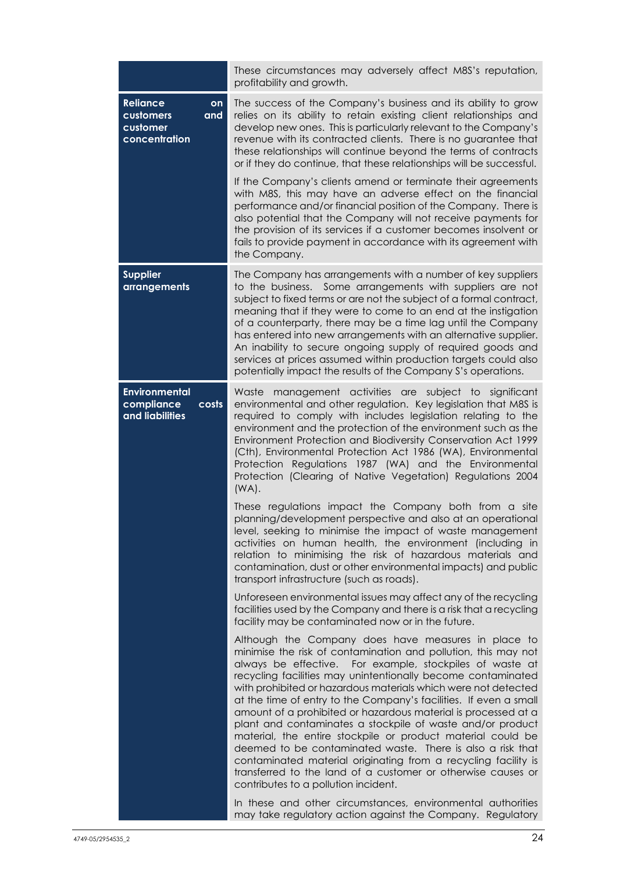|                                                                        | These circumstances may adversely affect M8S's reputation,<br>profitability and growth.                                                                                                                                                                                                                                                                                                                                                                                                                                                                                                                                                                                                                                                                                                                                         |
|------------------------------------------------------------------------|---------------------------------------------------------------------------------------------------------------------------------------------------------------------------------------------------------------------------------------------------------------------------------------------------------------------------------------------------------------------------------------------------------------------------------------------------------------------------------------------------------------------------------------------------------------------------------------------------------------------------------------------------------------------------------------------------------------------------------------------------------------------------------------------------------------------------------|
| <b>Reliance</b><br>on<br>customers<br>and<br>customer<br>concentration | The success of the Company's business and its ability to grow<br>relies on its ability to retain existing client relationships and<br>develop new ones. This is particularly relevant to the Company's<br>revenue with its contracted clients. There is no guarantee that<br>these relationships will continue beyond the terms of contracts<br>or if they do continue, that these relationships will be successful.                                                                                                                                                                                                                                                                                                                                                                                                            |
|                                                                        | If the Company's clients amend or terminate their agreements<br>with M8S, this may have an adverse effect on the financial<br>performance and/or financial position of the Company. There is<br>also potential that the Company will not receive payments for<br>the provision of its services if a customer becomes insolvent or<br>fails to provide payment in accordance with its agreement with<br>the Company.                                                                                                                                                                                                                                                                                                                                                                                                             |
| <b>Supplier</b><br>arrangements                                        | The Company has arrangements with a number of key suppliers<br>to the business. Some arrangements with suppliers are not<br>subject to fixed terms or are not the subject of a formal contract,<br>meaning that if they were to come to an end at the instigation<br>of a counterparty, there may be a time lag until the Company<br>has entered into new arrangements with an alternative supplier.<br>An inability to secure ongoing supply of required goods and<br>services at prices assumed within production targets could also<br>potentially impact the results of the Company S's operations.                                                                                                                                                                                                                         |
| <b>Environmental</b><br>compliance<br>costs<br>and liabilities         | management activities are subject to significant<br>Waste<br>environmental and other regulation. Key legislation that M8S is<br>required to comply with includes legislation relating to the<br>environment and the protection of the environment such as the<br>Environment Protection and Biodiversity Conservation Act 1999<br>(Cth), Environmental Protection Act 1986 (WA), Environmental<br>Protection Regulations 1987 (WA) and the Environmental<br>Protection (Clearing of Native Vegetation) Regulations 2004<br>$(WA)$ .                                                                                                                                                                                                                                                                                             |
|                                                                        | These regulations impact the Company both from a site<br>planning/development perspective and also at an operational<br>level, seeking to minimise the impact of waste management<br>activities on human health, the environment (including in<br>relation to minimising the risk of hazardous materials and<br>contamination, dust or other environmental impacts) and public<br>transport infrastructure (such as roads).                                                                                                                                                                                                                                                                                                                                                                                                     |
|                                                                        | Unforeseen environmental issues may affect any of the recycling<br>facilities used by the Company and there is a risk that a recycling<br>facility may be contaminated now or in the future.                                                                                                                                                                                                                                                                                                                                                                                                                                                                                                                                                                                                                                    |
|                                                                        | Although the Company does have measures in place to<br>minimise the risk of contamination and pollution, this may not<br>always be effective. For example, stockpiles of waste at<br>recycling facilities may unintentionally become contaminated<br>with prohibited or hazardous materials which were not detected<br>at the time of entry to the Company's facilities. If even a small<br>amount of a prohibited or hazardous material is processed at a<br>plant and contaminates a stockpile of waste and/or product<br>material, the entire stockpile or product material could be<br>deemed to be contaminated waste. There is also a risk that<br>contaminated material originating from a recycling facility is<br>transferred to the land of a customer or otherwise causes or<br>contributes to a pollution incident. |
|                                                                        | In these and other circumstances, environmental authorities<br>may take regulatory action against the Company. Regulatory                                                                                                                                                                                                                                                                                                                                                                                                                                                                                                                                                                                                                                                                                                       |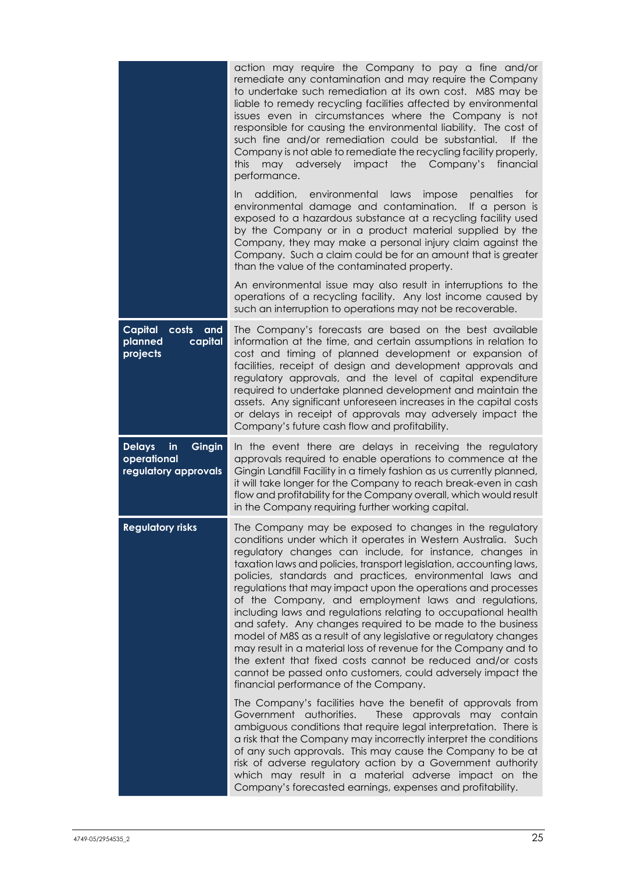|                                                                      | action may require the Company to pay a fine and/or<br>remediate any contamination and may require the Company<br>to undertake such remediation at its own cost. M8S may be<br>liable to remedy recycling facilities affected by environmental<br>issues even in circumstances where the Company is not<br>responsible for causing the environmental liability. The cost of<br>such fine and/or remediation could be substantial.<br>If the<br>Company is not able to remediate the recycling facility properly,<br><b>this</b><br>adversely<br>impact the Company's<br>financial<br>may<br>performance.                                                                                                                                                                                                                                                                                         |
|----------------------------------------------------------------------|--------------------------------------------------------------------------------------------------------------------------------------------------------------------------------------------------------------------------------------------------------------------------------------------------------------------------------------------------------------------------------------------------------------------------------------------------------------------------------------------------------------------------------------------------------------------------------------------------------------------------------------------------------------------------------------------------------------------------------------------------------------------------------------------------------------------------------------------------------------------------------------------------|
|                                                                      | addition, environmental<br>laws<br>impose<br>penalties<br>for<br>In<br>environmental damage and contamination.<br>If a person is<br>exposed to a hazardous substance at a recycling facility used<br>by the Company or in a product material supplied by the<br>Company, they may make a personal injury claim against the<br>Company. Such a claim could be for an amount that is greater<br>than the value of the contaminated property.                                                                                                                                                                                                                                                                                                                                                                                                                                                       |
|                                                                      | An environmental issue may also result in interruptions to the<br>operations of a recycling facility. Any lost income caused by<br>such an interruption to operations may not be recoverable.                                                                                                                                                                                                                                                                                                                                                                                                                                                                                                                                                                                                                                                                                                    |
| Capital<br>costs<br>and<br>planned<br>capital<br>projects            | The Company's forecasts are based on the best available<br>information at the time, and certain assumptions in relation to<br>cost and timing of planned development or expansion of<br>facilities, receipt of design and development approvals and<br>regulatory approvals, and the level of capital expenditure<br>required to undertake planned development and maintain the<br>assets. Any significant unforeseen increases in the capital costs<br>or delays in receipt of approvals may adversely impact the<br>Company's future cash flow and profitability.                                                                                                                                                                                                                                                                                                                              |
| <b>Delays</b><br>Gingin<br>in<br>operational<br>regulatory approvals | In the event there are delays in receiving the regulatory<br>approvals required to enable operations to commence at the<br>Gingin Landfill Facility in a timely fashion as us currently planned,<br>it will take longer for the Company to reach break-even in cash<br>flow and profitability for the Company overall, which would result<br>in the Company requiring further working capital.                                                                                                                                                                                                                                                                                                                                                                                                                                                                                                   |
| <b>Regulatory risks</b>                                              | The Company may be exposed to changes in the regulatory<br>conditions under which it operates in Western Australia. Such<br>regulatory changes can include, for instance, changes in<br>taxation laws and policies, transport legislation, accounting laws,<br>policies, standards and practices, environmental laws and<br>regulations that may impact upon the operations and processes<br>of the Company, and employment laws and regulations,<br>including laws and regulations relating to occupational health<br>and safety. Any changes required to be made to the business<br>model of M8S as a result of any legislative or regulatory changes<br>may result in a material loss of revenue for the Company and to<br>the extent that fixed costs cannot be reduced and/or costs<br>cannot be passed onto customers, could adversely impact the<br>financial performance of the Company. |
|                                                                      | The Company's facilities have the benefit of approvals from<br>Government authorities.<br>These approvals may contain<br>ambiguous conditions that require legal interpretation. There is<br>a risk that the Company may incorrectly interpret the conditions<br>of any such approvals. This may cause the Company to be at<br>risk of adverse regulatory action by a Government authority<br>which may result in a material adverse impact on the<br>Company's forecasted earnings, expenses and profitability.                                                                                                                                                                                                                                                                                                                                                                                 |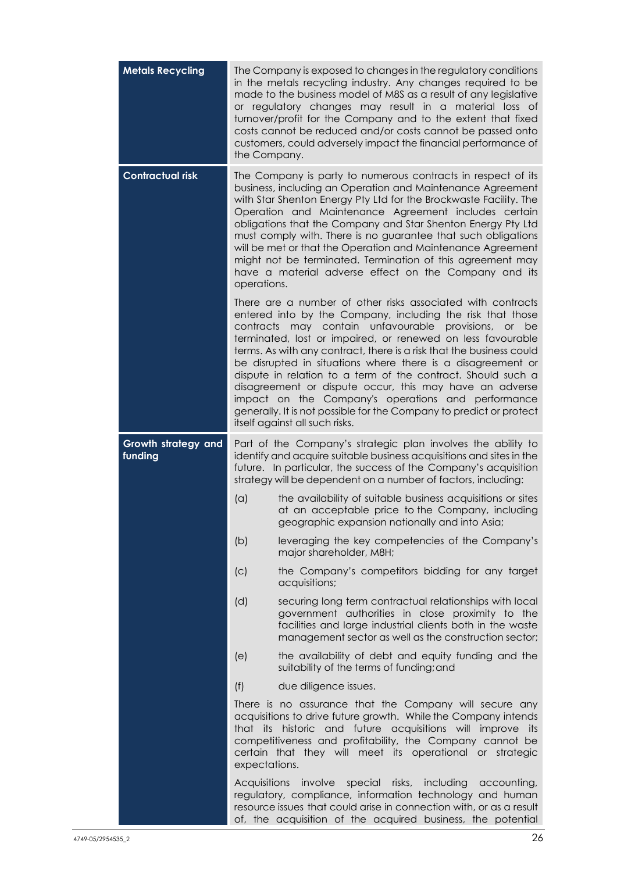| <b>Metals Recycling</b>        | The Company is exposed to changes in the regulatory conditions<br>in the metals recycling industry. Any changes required to be<br>made to the business model of M8S as a result of any legislative<br>or regulatory changes may result in a material loss of<br>turnover/profit for the Company and to the extent that fixed<br>costs cannot be reduced and/or costs cannot be passed onto<br>customers, could adversely impact the financial performance of<br>the Company.                                                                                                                                                                                                      |    |
|--------------------------------|-----------------------------------------------------------------------------------------------------------------------------------------------------------------------------------------------------------------------------------------------------------------------------------------------------------------------------------------------------------------------------------------------------------------------------------------------------------------------------------------------------------------------------------------------------------------------------------------------------------------------------------------------------------------------------------|----|
| <b>Contractual risk</b>        | The Company is party to numerous contracts in respect of its<br>business, including an Operation and Maintenance Agreement<br>with Star Shenton Energy Pty Ltd for the Brockwaste Facility. The<br>Operation and Maintenance Agreement includes certain<br>obligations that the Company and Star Shenton Energy Pty Ltd<br>must comply with. There is no guarantee that such obligations<br>will be met or that the Operation and Maintenance Agreement<br>might not be terminated. Termination of this agreement may<br>have a material adverse effect on the Company and its<br>operations.                                                                                     |    |
|                                | There are a number of other risks associated with contracts<br>entered into by the Company, including the risk that those<br>contracts may contain unfavourable<br>provisions, or<br>terminated, lost or impaired, or renewed on less favourable<br>terms. As with any contract, there is a risk that the business could<br>be disrupted in situations where there is a disagreement or<br>dispute in relation to a term of the contract. Should such a<br>disagreement or dispute occur, this may have an adverse<br>impact on the Company's operations and performance<br>generally. It is not possible for the Company to predict or protect<br>itself against all such risks. | be |
| Growth strategy and<br>funding | Part of the Company's strategic plan involves the ability to<br>identify and acquire suitable business acquisitions and sites in the<br>future. In particular, the success of the Company's acquisition<br>strategy will be dependent on a number of factors, including:                                                                                                                                                                                                                                                                                                                                                                                                          |    |
|                                | (a)<br>the availability of suitable business acquisitions or sites<br>at an acceptable price to the Company, including<br>geographic expansion nationally and into Asia;                                                                                                                                                                                                                                                                                                                                                                                                                                                                                                          |    |
|                                | (b)<br>leveraging the key competencies of the Company's<br>major shareholder, M8H;                                                                                                                                                                                                                                                                                                                                                                                                                                                                                                                                                                                                |    |
|                                | the Company's competitors bidding for any target<br>(C)<br>acquisitions;                                                                                                                                                                                                                                                                                                                                                                                                                                                                                                                                                                                                          |    |
|                                | (d)<br>securing long term contractual relationships with local<br>government authorities in close proximity to the<br>facilities and large industrial clients both in the waste<br>management sector as well as the construction sector;                                                                                                                                                                                                                                                                                                                                                                                                                                          |    |
|                                | the availability of debt and equity funding and the<br>(e)<br>suitability of the terms of funding; and                                                                                                                                                                                                                                                                                                                                                                                                                                                                                                                                                                            |    |
|                                | (f)<br>due diligence issues.                                                                                                                                                                                                                                                                                                                                                                                                                                                                                                                                                                                                                                                      |    |
|                                | There is no assurance that the Company will secure any<br>acquisitions to drive future growth. While the Company intends<br>historic and future acquisitions will improve its<br>that its<br>competitiveness and profitability, the Company cannot be<br>certain that they will meet its operational or strategic<br>expectations.                                                                                                                                                                                                                                                                                                                                                |    |
|                                | involve special risks, including<br>Acquisitions<br>accounting,<br>regulatory, compliance, information technology and human<br>resource issues that could arise in connection with, or as a result<br>of, the acquisition of the acquired business, the potential                                                                                                                                                                                                                                                                                                                                                                                                                 |    |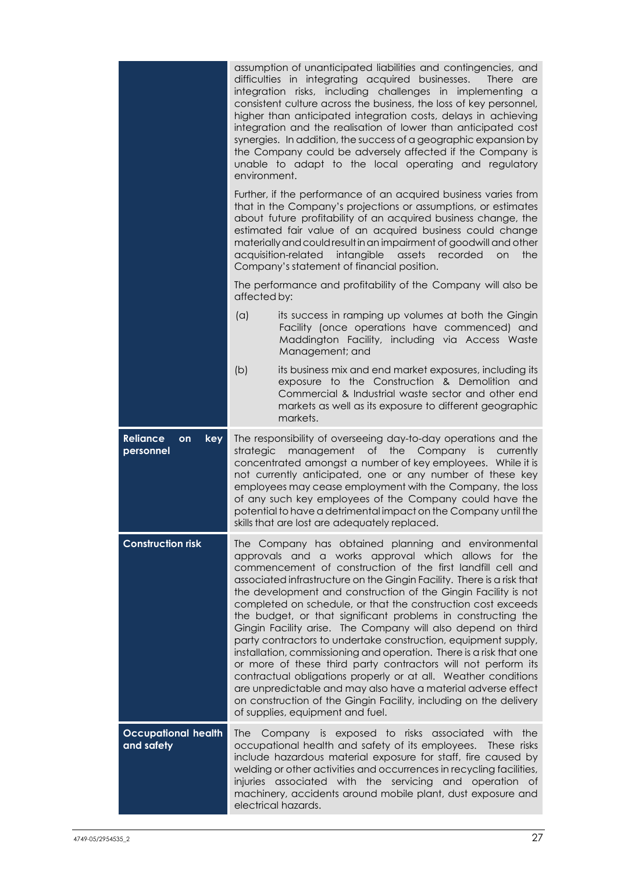|                                           | assumption of unanticipated liabilities and contingencies, and<br>difficulties in integrating acquired businesses.<br>There are<br>integration risks, including challenges in implementing a<br>consistent culture across the business, the loss of key personnel,<br>higher than anticipated integration costs, delays in achieving<br>integration and the realisation of lower than anticipated cost<br>synergies. In addition, the success of a geographic expansion by<br>the Company could be adversely affected if the Company is<br>unable to adapt to the local operating and regulatory<br>environment.                                                                                                                                                                                                                                                                                                                                                            |
|-------------------------------------------|-----------------------------------------------------------------------------------------------------------------------------------------------------------------------------------------------------------------------------------------------------------------------------------------------------------------------------------------------------------------------------------------------------------------------------------------------------------------------------------------------------------------------------------------------------------------------------------------------------------------------------------------------------------------------------------------------------------------------------------------------------------------------------------------------------------------------------------------------------------------------------------------------------------------------------------------------------------------------------|
|                                           | Further, if the performance of an acquired business varies from<br>that in the Company's projections or assumptions, or estimates<br>about future profitability of an acquired business change, the<br>estimated fair value of an acquired business could change<br>materially and could result in an impairment of goodwill and other<br>acquisition-related<br>intangible<br>assets<br>recorded<br>on<br>the<br>Company's statement of financial position.                                                                                                                                                                                                                                                                                                                                                                                                                                                                                                                |
|                                           | The performance and profitability of the Company will also be<br>affected by:                                                                                                                                                                                                                                                                                                                                                                                                                                                                                                                                                                                                                                                                                                                                                                                                                                                                                               |
|                                           | (a)<br>its success in ramping up volumes at both the Gingin<br>Facility (once operations have commenced) and<br>Maddington Facility, including via Access Waste<br>Management; and                                                                                                                                                                                                                                                                                                                                                                                                                                                                                                                                                                                                                                                                                                                                                                                          |
|                                           | (b)<br>its business mix and end market exposures, including its<br>exposure to the Construction & Demolition and<br>Commercial & Industrial waste sector and other end<br>markets as well as its exposure to different geographic<br>markets.                                                                                                                                                                                                                                                                                                                                                                                                                                                                                                                                                                                                                                                                                                                               |
| <b>Reliance</b><br>key<br>on<br>personnel | The responsibility of overseeing day-to-day operations and the<br>management of the Company is currently<br>strategic<br>concentrated amongst a number of key employees. While it is<br>not currently anticipated, one or any number of these key<br>employees may cease employment with the Company, the loss<br>of any such key employees of the Company could have the<br>potential to have a detrimental impact on the Company until the<br>skills that are lost are adequately replaced.                                                                                                                                                                                                                                                                                                                                                                                                                                                                               |
| <b>Construction risk</b>                  | The Company has obtained planning and environmental<br>approvals and a works approval which allows for the<br>commencement of construction of the first landfill cell and<br>associated infrastructure on the Gingin Facility. There is a risk that<br>the development and construction of the Gingin Facility is not<br>completed on schedule, or that the construction cost exceeds<br>the budget, or that significant problems in constructing the<br>Gingin Facility arise. The Company will also depend on third<br>party contractors to undertake construction, equipment supply,<br>installation, commissioning and operation. There is a risk that one<br>or more of these third party contractors will not perform its<br>contractual obligations properly or at all. Weather conditions<br>are unpredictable and may also have a material adverse effect<br>on construction of the Gingin Facility, including on the delivery<br>of supplies, equipment and fuel. |
| <b>Occupational health</b><br>and safety  | The Company is exposed to risks associated with the<br>occupational health and safety of its employees. These risks<br>include hazardous material exposure for staff, fire caused by<br>welding or other activities and occurrences in recycling facilities,<br>injuries associated with the servicing and operation of<br>machinery, accidents around mobile plant, dust exposure and<br>electrical hazards.                                                                                                                                                                                                                                                                                                                                                                                                                                                                                                                                                               |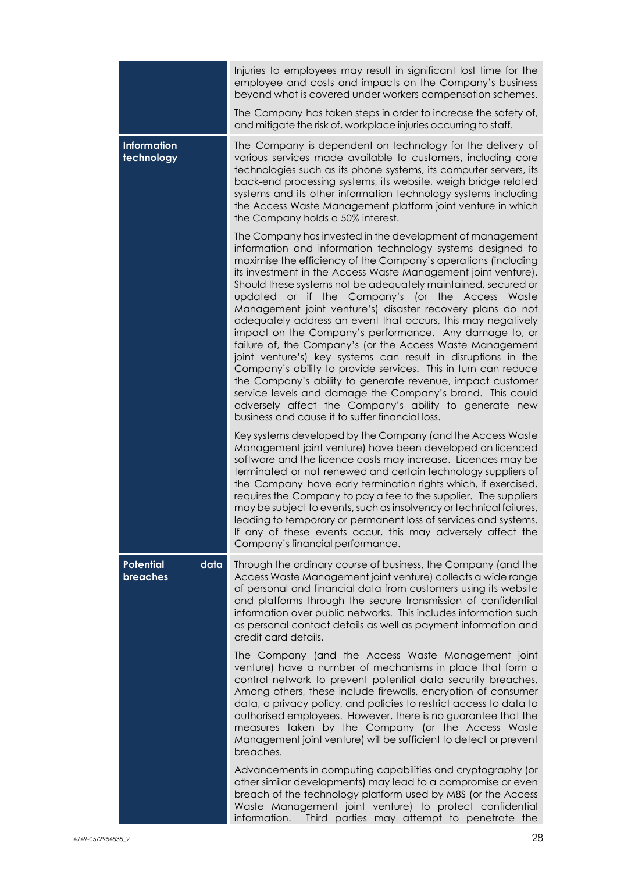|                                  | Injuries to employees may result in significant lost time for the<br>employee and costs and impacts on the Company's business<br>beyond what is covered under workers compensation schemes.                                                                                                                                                                                                                                                                                                                                                                                                                                                                                                                                                                                                                                                                                                                                                                                                                     |
|----------------------------------|-----------------------------------------------------------------------------------------------------------------------------------------------------------------------------------------------------------------------------------------------------------------------------------------------------------------------------------------------------------------------------------------------------------------------------------------------------------------------------------------------------------------------------------------------------------------------------------------------------------------------------------------------------------------------------------------------------------------------------------------------------------------------------------------------------------------------------------------------------------------------------------------------------------------------------------------------------------------------------------------------------------------|
|                                  | The Company has taken steps in order to increase the safety of,<br>and mitigate the risk of, workplace injuries occurring to staff.                                                                                                                                                                                                                                                                                                                                                                                                                                                                                                                                                                                                                                                                                                                                                                                                                                                                             |
| <b>Information</b><br>technology | The Company is dependent on technology for the delivery of<br>various services made available to customers, including core<br>technologies such as its phone systems, its computer servers, its<br>back-end processing systems, its website, weigh bridge related<br>systems and its other information technology systems including<br>the Access Waste Management platform joint venture in which<br>the Company holds a 50% interest.                                                                                                                                                                                                                                                                                                                                                                                                                                                                                                                                                                         |
|                                  | The Company has invested in the development of management<br>information and information technology systems designed to<br>maximise the efficiency of the Company's operations (including<br>its investment in the Access Waste Management joint venture).<br>Should these systems not be adequately maintained, secured or<br>updated or if the Company's (or the Access Waste<br>Management joint venture's) disaster recovery plans do not<br>adequately address an event that occurs, this may negatively<br>impact on the Company's performance. Any damage to, or<br>failure of, the Company's (or the Access Waste Management<br>joint venture's) key systems can result in disruptions in the<br>Company's ability to provide services. This in turn can reduce<br>the Company's ability to generate revenue, impact customer<br>service levels and damage the Company's brand. This could<br>adversely affect the Company's ability to generate new<br>business and cause it to suffer financial loss. |
|                                  | Key systems developed by the Company (and the Access Waste<br>Management joint venture) have been developed on licenced<br>software and the licence costs may increase. Licences may be<br>terminated or not renewed and certain technology suppliers of<br>the Company have early termination rights which, if exercised,<br>requires the Company to pay a fee to the supplier. The suppliers<br>may be subject to events, such as insolvency or technical failures,<br>leading to temporary or permanent loss of services and systems.<br>If any of these events occur, this may adversely affect the<br>Company's financial performance.                                                                                                                                                                                                                                                                                                                                                                     |
| Potential<br>data<br>breaches    | Through the ordinary course of business, the Company (and the<br>Access Waste Management joint venture) collects a wide range<br>of personal and financial data from customers using its website<br>and platforms through the secure transmission of confidential<br>information over public networks. This includes information such<br>as personal contact details as well as payment information and<br>credit card details.                                                                                                                                                                                                                                                                                                                                                                                                                                                                                                                                                                                 |
|                                  | The Company (and the Access Waste Management joint<br>venture) have a number of mechanisms in place that form a<br>control network to prevent potential data security breaches.<br>Among others, these include firewalls, encryption of consumer<br>data, a privacy policy, and policies to restrict access to data to<br>authorised employees. However, there is no guarantee that the<br>measures taken by the Company (or the Access Waste<br>Management joint venture) will be sufficient to detect or prevent<br>breaches.                                                                                                                                                                                                                                                                                                                                                                                                                                                                                 |
|                                  | Advancements in computing capabilities and cryptography (or<br>other similar developments) may lead to a compromise or even<br>breach of the technology platform used by M8S (or the Access<br>Waste Management joint venture) to protect confidential<br>information.<br>Third parties may attempt to penetrate the                                                                                                                                                                                                                                                                                                                                                                                                                                                                                                                                                                                                                                                                                            |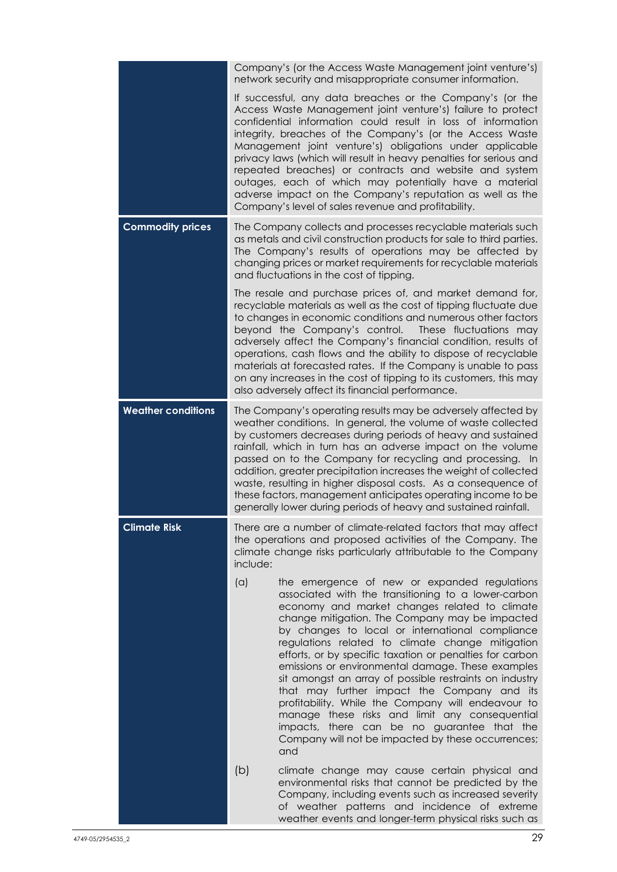|                           | Company's (or the Access Waste Management joint venture's)<br>network security and misappropriate consumer information.                                                                                                                                                                                                                                                                                                                                                                                                                                                                                                                                                                                                                                             |  |  |
|---------------------------|---------------------------------------------------------------------------------------------------------------------------------------------------------------------------------------------------------------------------------------------------------------------------------------------------------------------------------------------------------------------------------------------------------------------------------------------------------------------------------------------------------------------------------------------------------------------------------------------------------------------------------------------------------------------------------------------------------------------------------------------------------------------|--|--|
|                           | If successful, any data breaches or the Company's (or the<br>Access Waste Management joint venture's) failure to protect<br>confidential information could result in loss of information<br>integrity, breaches of the Company's (or the Access Waste<br>Management joint venture's) obligations under applicable<br>privacy laws (which will result in heavy penalties for serious and<br>repeated breaches) or contracts and website and system<br>outages, each of which may potentially have a material<br>adverse impact on the Company's reputation as well as the<br>Company's level of sales revenue and profitability.                                                                                                                                     |  |  |
| <b>Commodity prices</b>   | The Company collects and processes recyclable materials such<br>as metals and civil construction products for sale to third parties.<br>The Company's results of operations may be affected by<br>changing prices or market requirements for recyclable materials<br>and fluctuations in the cost of tipping.                                                                                                                                                                                                                                                                                                                                                                                                                                                       |  |  |
|                           | The resale and purchase prices of, and market demand for,<br>recyclable materials as well as the cost of tipping fluctuate due<br>to changes in economic conditions and numerous other factors<br>beyond the Company's control. These fluctuations may<br>adversely affect the Company's financial condition, results of<br>operations, cash flows and the ability to dispose of recyclable<br>materials at forecasted rates. If the Company is unable to pass<br>on any increases in the cost of tipping to its customers, this may<br>also adversely affect its financial performance.                                                                                                                                                                            |  |  |
| <b>Weather conditions</b> | The Company's operating results may be adversely affected by<br>weather conditions. In general, the volume of waste collected<br>by customers decreases during periods of heavy and sustained<br>rainfall, which in turn has an adverse impact on the volume<br>passed on to the Company for recycling and processing. In<br>addition, greater precipitation increases the weight of collected<br>waste, resulting in higher disposal costs. As a consequence of<br>these factors, management anticipates operating income to be<br>generally lower during periods of heavy and sustained rainfall.                                                                                                                                                                 |  |  |
| <b>Climate Risk</b>       | There are a number of climate-related factors that may affect<br>the operations and proposed activities of the Company. The<br>climate change risks particularly attributable to the Company<br>include:                                                                                                                                                                                                                                                                                                                                                                                                                                                                                                                                                            |  |  |
|                           | (a)<br>the emergence of new or expanded regulations<br>associated with the transitioning to a lower-carbon<br>economy and market changes related to climate<br>change mitigation. The Company may be impacted<br>by changes to local or international compliance<br>regulations related to climate change mitigation<br>efforts, or by specific taxation or penalties for carbon<br>emissions or environmental damage. These examples<br>sit amongst an array of possible restraints on industry<br>that may further impact the Company and its<br>profitability. While the Company will endeavour to<br>manage these risks and limit any consequential<br>impacts, there can be no guarantee that the<br>Company will not be impacted by these occurrences;<br>and |  |  |
|                           | (b)<br>climate change may cause certain physical and<br>environmental risks that cannot be predicted by the<br>Company, including events such as increased severity<br>of weather patterns and incidence of extreme<br>weather events and longer-term physical risks such as                                                                                                                                                                                                                                                                                                                                                                                                                                                                                        |  |  |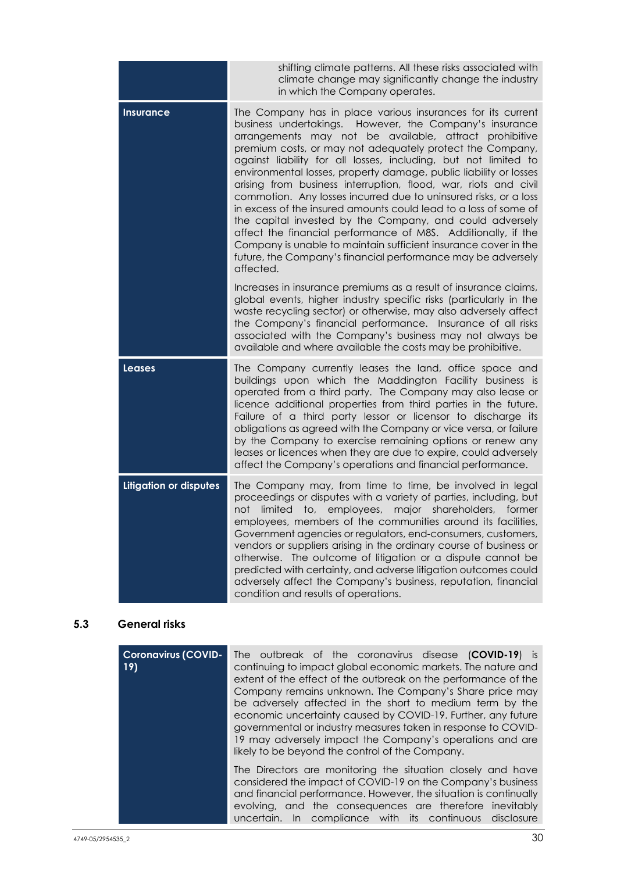|                               | shifting climate patterns. All these risks associated with<br>climate change may significantly change the industry<br>in which the Company operates.                                                                                                                                                                                                                                                                                                                                                                                                                                                                                                                                                                                                                                                                                                                          |
|-------------------------------|-------------------------------------------------------------------------------------------------------------------------------------------------------------------------------------------------------------------------------------------------------------------------------------------------------------------------------------------------------------------------------------------------------------------------------------------------------------------------------------------------------------------------------------------------------------------------------------------------------------------------------------------------------------------------------------------------------------------------------------------------------------------------------------------------------------------------------------------------------------------------------|
| <b>Insurance</b>              | The Company has in place various insurances for its current<br>business undertakings. However, the Company's insurance<br>arrangements may not be available, attract prohibitive<br>premium costs, or may not adequately protect the Company,<br>against liability for all losses, including, but not limited to<br>environmental losses, property damage, public liability or losses<br>arising from business interruption, flood, war, riots and civil<br>commotion. Any losses incurred due to uninsured risks, or a loss<br>in excess of the insured amounts could lead to a loss of some of<br>the capital invested by the Company, and could adversely<br>affect the financial performance of M8S. Additionally, if the<br>Company is unable to maintain sufficient insurance cover in the<br>future, the Company's financial performance may be adversely<br>affected. |
|                               | Increases in insurance premiums as a result of insurance claims,<br>global events, higher industry specific risks (particularly in the<br>waste recycling sector) or otherwise, may also adversely affect<br>the Company's financial performance. Insurance of all risks<br>associated with the Company's business may not always be<br>available and where available the costs may be prohibitive.                                                                                                                                                                                                                                                                                                                                                                                                                                                                           |
| <b>Leases</b>                 | The Company currently leases the land, office space and<br>buildings upon which the Maddington Facility business is<br>operated from a third party. The Company may also lease or<br>licence additional properties from third parties in the future.<br>Failure of a third party lessor or licensor to discharge its<br>obligations as agreed with the Company or vice versa, or failure<br>by the Company to exercise remaining options or renew any<br>leases or licences when they are due to expire, could adversely<br>affect the Company's operations and financial performance.                                                                                                                                                                                                                                                                                        |
| <b>Litigation or disputes</b> | The Company may, from time to time, be involved in legal<br>proceedings or disputes with a variety of parties, including, but<br>limited to, employees, major shareholders, former<br>not<br>employees, members of the communities around its facilities,<br>Government agencies or regulators, end-consumers, customers,<br>vendors or suppliers arising in the ordinary course of business or<br>otherwise. The outcome of litigation or a dispute cannot be<br>predicted with certainty, and adverse litigation outcomes could<br>adversely affect the Company's business, reputation, financial<br>condition and results of operations.                                                                                                                                                                                                                                   |

## **5.3 General risks**

| <b>Coronavirus (COVID-</b><br>19) | The outbreak of the coronavirus disease (COVID-19) is<br>continuing to impact global economic markets. The nature and<br>extent of the effect of the outbreak on the performance of the<br>Company remains unknown. The Company's Share price may<br>be adversely affected in the short to medium term by the<br>economic uncertainty caused by COVID-19. Further, any future<br>governmental or industry measures taken in response to COVID-<br>19 may adversely impact the Company's operations and are<br>likely to be beyond the control of the Company. |  |
|-----------------------------------|---------------------------------------------------------------------------------------------------------------------------------------------------------------------------------------------------------------------------------------------------------------------------------------------------------------------------------------------------------------------------------------------------------------------------------------------------------------------------------------------------------------------------------------------------------------|--|
|                                   | The Directors are monitoring the situation closely and have<br>considered the impact of COVID-19 on the Company's business<br>and financial performance. However, the situation is continually<br>evolving, and the consequences are therefore inevitably<br>In compliance with its continuous disclosure<br>uncertain.                                                                                                                                                                                                                                       |  |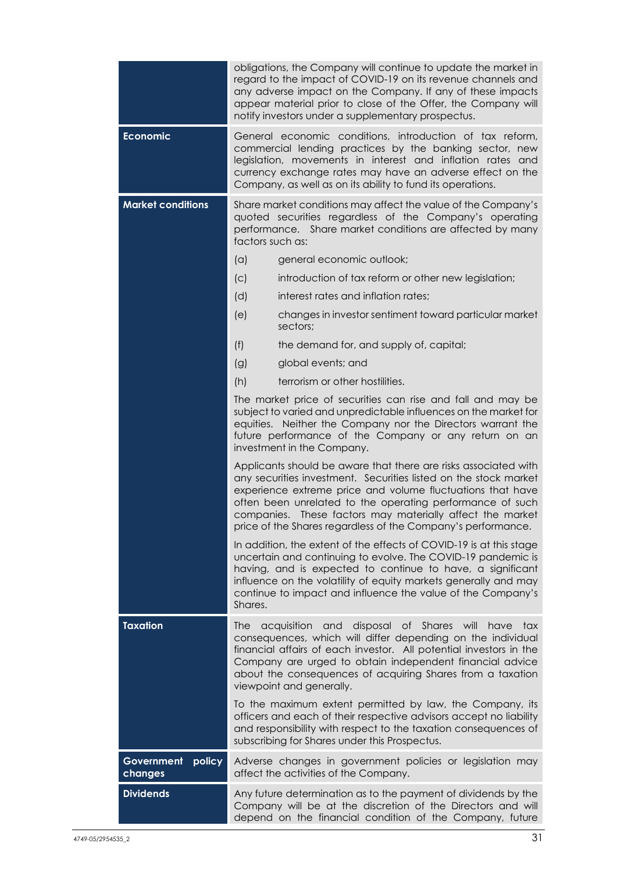|                                 | obligations, the Company will continue to update the market in<br>regard to the impact of COVID-19 on its revenue channels and<br>any adverse impact on the Company. If any of these impacts<br>appear material prior to close of the Offer, the Company will<br>notify investors under a supplementary prospectus. |                                                                                                                                                                                                                                                                                                                                                                                             |  |
|---------------------------------|---------------------------------------------------------------------------------------------------------------------------------------------------------------------------------------------------------------------------------------------------------------------------------------------------------------------|---------------------------------------------------------------------------------------------------------------------------------------------------------------------------------------------------------------------------------------------------------------------------------------------------------------------------------------------------------------------------------------------|--|
| <b>Economic</b>                 |                                                                                                                                                                                                                                                                                                                     | General economic conditions, introduction of tax reform,<br>commercial lending practices by the banking sector, new<br>legislation, movements in interest and inflation rates and<br>currency exchange rates may have an adverse effect on the<br>Company, as well as on its ability to fund its operations.                                                                                |  |
| <b>Market conditions</b>        | Share market conditions may affect the value of the Company's<br>quoted securities regardless of the Company's operating<br>performance. Share market conditions are affected by many<br>factors such as:                                                                                                           |                                                                                                                                                                                                                                                                                                                                                                                             |  |
|                                 | (a)                                                                                                                                                                                                                                                                                                                 | general economic outlook;                                                                                                                                                                                                                                                                                                                                                                   |  |
|                                 | (c)                                                                                                                                                                                                                                                                                                                 | introduction of tax reform or other new legislation;                                                                                                                                                                                                                                                                                                                                        |  |
|                                 | (d)                                                                                                                                                                                                                                                                                                                 | interest rates and inflation rates;                                                                                                                                                                                                                                                                                                                                                         |  |
|                                 | (e)                                                                                                                                                                                                                                                                                                                 | changes in investor sentiment toward particular market<br>sectors;                                                                                                                                                                                                                                                                                                                          |  |
|                                 | (f)                                                                                                                                                                                                                                                                                                                 | the demand for, and supply of, capital;                                                                                                                                                                                                                                                                                                                                                     |  |
|                                 | (g)                                                                                                                                                                                                                                                                                                                 | global events; and                                                                                                                                                                                                                                                                                                                                                                          |  |
|                                 | (h)                                                                                                                                                                                                                                                                                                                 | terrorism or other hostilities.                                                                                                                                                                                                                                                                                                                                                             |  |
|                                 | The market price of securities can rise and fall and may be<br>subject to varied and unpredictable influences on the market for<br>equities. Neither the Company nor the Directors warrant the<br>future performance of the Company or any return on an<br>investment in the Company.                               |                                                                                                                                                                                                                                                                                                                                                                                             |  |
|                                 |                                                                                                                                                                                                                                                                                                                     | Applicants should be aware that there are risks associated with<br>any securities investment. Securities listed on the stock market<br>experience extreme price and volume fluctuations that have<br>often been unrelated to the operating performance of such<br>companies. These factors may materially affect the market<br>price of the Shares regardless of the Company's performance. |  |
|                                 | Shares.                                                                                                                                                                                                                                                                                                             | In addition, the extent of the effects of COVID-19 is at this stage<br>uncertain and continuing to evolve. The COVID-19 pandemic is<br>having, and is expected to continue to have, a significant<br>influence on the volatility of equity markets generally and may<br>continue to impact and influence the value of the Company's                                                         |  |
| <b>Taxation</b>                 | <b>The</b>                                                                                                                                                                                                                                                                                                          | acquisition<br>disposal of<br>Shares<br>will<br>and<br>have<br>tax<br>consequences, which will differ depending on the individual<br>financial affairs of each investor. All potential investors in the<br>Company are urged to obtain independent financial advice<br>about the consequences of acquiring Shares from a taxation<br>viewpoint and generally.                               |  |
|                                 |                                                                                                                                                                                                                                                                                                                     | To the maximum extent permitted by law, the Company, its<br>officers and each of their respective advisors accept no liability<br>and responsibility with respect to the taxation consequences of<br>subscribing for Shares under this Prospectus.                                                                                                                                          |  |
| Government<br>policy<br>changes |                                                                                                                                                                                                                                                                                                                     | Adverse changes in government policies or legislation may<br>affect the activities of the Company.                                                                                                                                                                                                                                                                                          |  |
| <b>Dividends</b>                |                                                                                                                                                                                                                                                                                                                     | Any future determination as to the payment of dividends by the<br>Company will be at the discretion of the Directors and will<br>depend on the financial condition of the Company, future                                                                                                                                                                                                   |  |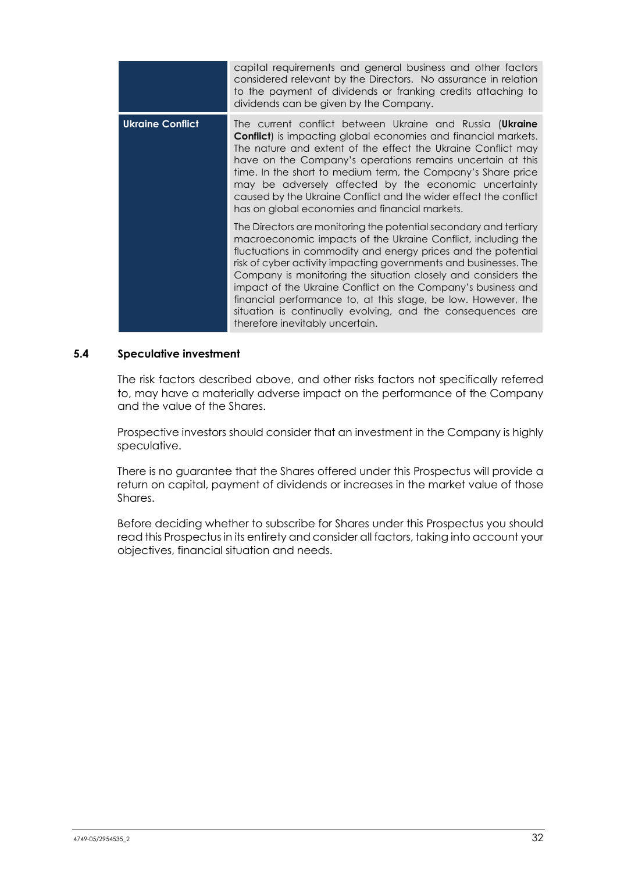|                         | capital requirements and general business and other factors<br>considered relevant by the Directors. No assurance in relation<br>to the payment of dividends or franking credits attaching to<br>dividends can be given by the Company.                                                                                                                                                                                                                                                                                                                                    |
|-------------------------|----------------------------------------------------------------------------------------------------------------------------------------------------------------------------------------------------------------------------------------------------------------------------------------------------------------------------------------------------------------------------------------------------------------------------------------------------------------------------------------------------------------------------------------------------------------------------|
| <b>Ukraine Conflict</b> | The current conflict between Ukraine and Russia (Ukraine<br><b>Conflict</b> ) is impacting global economies and financial markets.<br>The nature and extent of the effect the Ukraine Conflict may<br>have on the Company's operations remains uncertain at this<br>time. In the short to medium term, the Company's Share price<br>may be adversely affected by the economic uncertainty<br>caused by the Ukraine Conflict and the wider effect the conflict<br>has on global economies and financial markets.                                                            |
|                         | The Directors are monitoring the potential secondary and tertiary<br>macroeconomic impacts of the Ukraine Conflict, including the<br>fluctuations in commodity and energy prices and the potential<br>risk of cyber activity impacting governments and businesses. The<br>Company is monitoring the situation closely and considers the<br>impact of the Ukraine Conflict on the Company's business and<br>financial performance to, at this stage, be low. However, the<br>situation is continually evolving, and the consequences are<br>therefore inevitably uncertain. |

## **5.4 Speculative investment**

The risk factors described above, and other risks factors not specifically referred to, may have a materially adverse impact on the performance of the Company and the value of the Shares.

Prospective investors should consider that an investment in the Company is highly speculative.

There is no guarantee that the Shares offered under this Prospectus will provide a return on capital, payment of dividends or increases in the market value of those Shares.

Before deciding whether to subscribe for Shares under this Prospectus you should read this Prospectus in its entirety and consider all factors, taking into account your objectives, financial situation and needs.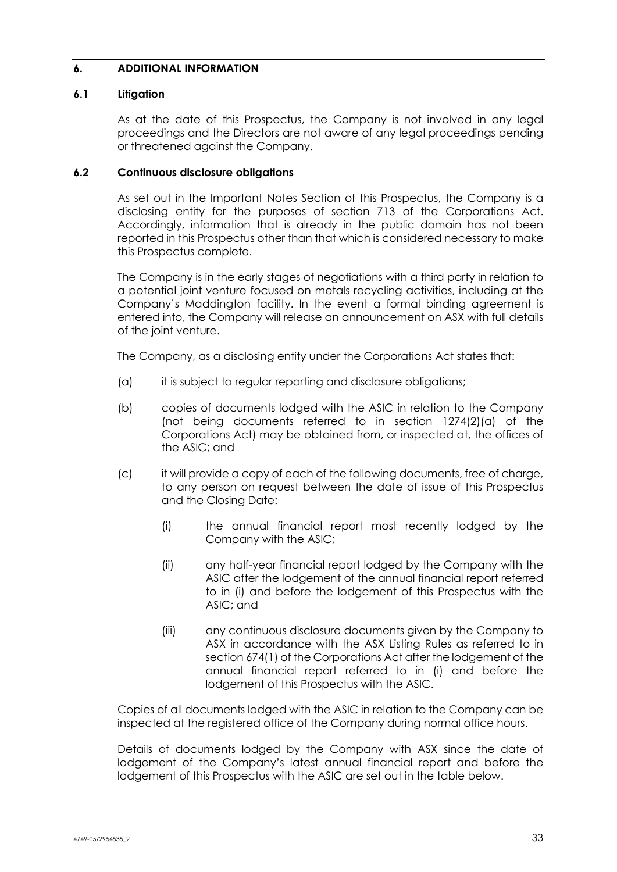## <span id="page-37-1"></span>**6. ADDITIONAL INFORMATION**

## **6.1 Litigation**

As at the date of this Prospectus, the Company is not involved in any legal proceedings and the Directors are not aware of any legal proceedings pending or threatened against the Company.

## <span id="page-37-0"></span>**6.2 Continuous disclosure obligations**

As set out in the Important Notes Section of this Prospectus, the Company is a disclosing entity for the purposes of section 713 of the Corporations Act. Accordingly, information that is already in the public domain has not been reported in this Prospectus other than that which is considered necessary to make this Prospectus complete.

The Company is in the early stages of negotiations with a third party in relation to a potential joint venture focused on metals recycling activities, including at the Company's Maddington facility. In the event a formal binding agreement is entered into, the Company will release an announcement on ASX with full details of the joint venture.

The Company, as a disclosing entity under the Corporations Act states that:

- (a) it is subject to regular reporting and disclosure obligations;
- (b) copies of documents lodged with the ASIC in relation to the Company (not being documents referred to in section 1274(2)(a) of the Corporations Act) may be obtained from, or inspected at, the offices of the ASIC; and
- (c) it will provide a copy of each of the following documents, free of charge, to any person on request between the date of issue of this Prospectus and the Closing Date:
	- (i) the annual financial report most recently lodged by the Company with the ASIC;
	- (ii) any half-year financial report lodged by the Company with the ASIC after the lodgement of the annual financial report referred to in (i) and before the lodgement of this Prospectus with the ASIC; and
	- (iii) any continuous disclosure documents given by the Company to ASX in accordance with the ASX Listing Rules as referred to in section 674(1) of the Corporations Act after the lodgement of the annual financial report referred to in (i) and before the lodgement of this Prospectus with the ASIC.

Copies of all documents lodged with the ASIC in relation to the Company can be inspected at the registered office of the Company during normal office hours.

Details of documents lodged by the Company with ASX since the date of lodgement of the Company's latest annual financial report and before the lodgement of this Prospectus with the ASIC are set out in the table below.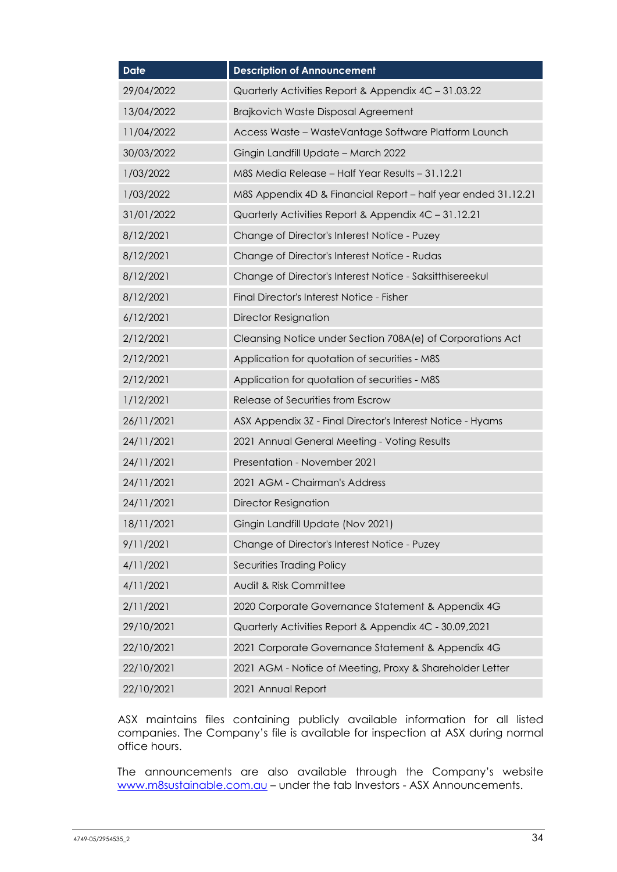| <b>Date</b> | <b>Description of Announcement</b>                            |  |
|-------------|---------------------------------------------------------------|--|
| 29/04/2022  | Quarterly Activities Report & Appendix 4C - 31.03.22          |  |
| 13/04/2022  | Brajkovich Waste Disposal Agreement                           |  |
| 11/04/2022  | Access Waste - WasteVantage Software Platform Launch          |  |
| 30/03/2022  | Gingin Landfill Update - March 2022                           |  |
| 1/03/2022   | M8S Media Release - Half Year Results - 31.12.21              |  |
| 1/03/2022   | M8S Appendix 4D & Financial Report - half year ended 31.12.21 |  |
| 31/01/2022  | Quarterly Activities Report & Appendix 4C - 31.12.21          |  |
| 8/12/2021   | Change of Director's Interest Notice - Puzey                  |  |
| 8/12/2021   | Change of Director's Interest Notice - Rudas                  |  |
| 8/12/2021   | Change of Director's Interest Notice - Saksitthisereekul      |  |
| 8/12/2021   | Final Director's Interest Notice - Fisher                     |  |
| 6/12/2021   | <b>Director Resignation</b>                                   |  |
| 2/12/2021   | Cleansing Notice under Section 708A(e) of Corporations Act    |  |
| 2/12/2021   | Application for quotation of securities - M8S                 |  |
| 2/12/2021   | Application for quotation of securities - M8S                 |  |
| 1/12/2021   | Release of Securities from Escrow                             |  |
| 26/11/2021  | ASX Appendix 3Z - Final Director's Interest Notice - Hyams    |  |
| 24/11/2021  | 2021 Annual General Meeting - Voting Results                  |  |
| 24/11/2021  | Presentation - November 2021                                  |  |
| 24/11/2021  | 2021 AGM - Chairman's Address                                 |  |
| 24/11/2021  | <b>Director Resignation</b>                                   |  |
| 18/11/2021  | Gingin Landfill Update (Nov 2021)                             |  |
| 9/11/2021   | Change of Director's Interest Notice - Puzey                  |  |
| 4/11/2021   | Securities Trading Policy                                     |  |
| 4/11/2021   | Audit & Risk Committee                                        |  |
| 2/11/2021   | 2020 Corporate Governance Statement & Appendix 4G             |  |
| 29/10/2021  | Quarterly Activities Report & Appendix 4C - 30.09,2021        |  |
| 22/10/2021  | 2021 Corporate Governance Statement & Appendix 4G             |  |
| 22/10/2021  | 2021 AGM - Notice of Meeting, Proxy & Shareholder Letter      |  |
| 22/10/2021  | 2021 Annual Report                                            |  |

ASX maintains files containing publicly available information for all listed companies. The Company's file is available for inspection at ASX during normal office hours.

The announcements are also available through the Company's website [www.m8sustainable.com.au](http://www.m8sustainable.com.au/) – under the tab Investors - ASX Announcements.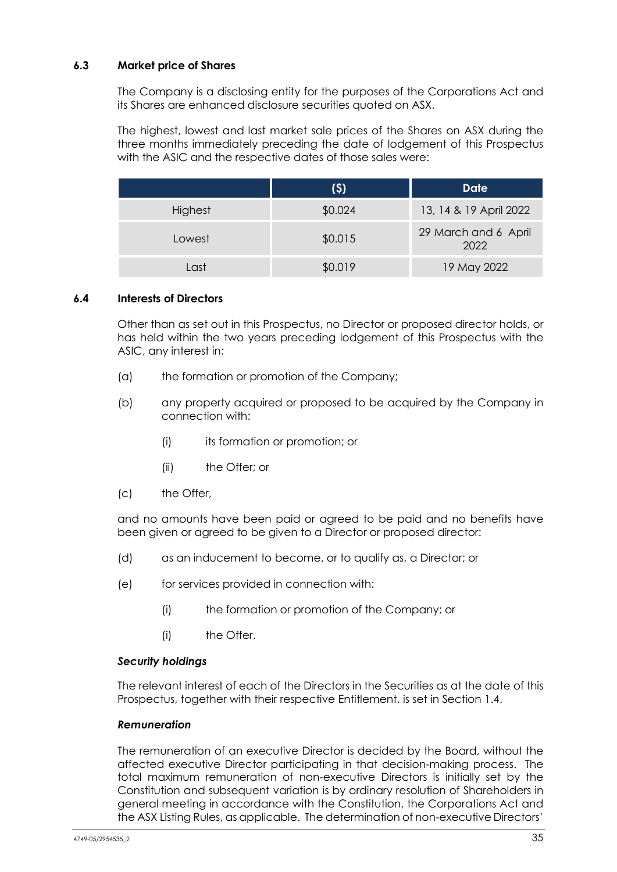## **6.3 Market price of Shares**

The Company is a disclosing entity for the purposes of the Corporations Act and its Shares are enhanced disclosure securities quoted on ASX.

The highest, lowest and last market sale prices of the Shares on ASX during the three months immediately preceding the date of lodgement of this Prospectus with the ASIC and the respective dates of those sales were:

|         | (5)     | <b>Date</b>                  |
|---------|---------|------------------------------|
| Highest | \$0.024 | 13, 14 & 19 April 2022       |
| Lowest  | \$0.015 | 29 March and 6 April<br>2022 |
| Last    | \$0.019 | 19 May 2022                  |

## **6.4 Interests of Directors**

Other than as set out in this Prospectus, no Director or proposed director holds, or has held within the two years preceding lodgement of this Prospectus with the ASIC, any interest in:

- (a) the formation or promotion of the Company;
- (b) any property acquired or proposed to be acquired by the Company in connection with:
	- (i) its formation or promotion; or
	- (ii) the Offer; or
- (c) the Offer,

and no amounts have been paid or agreed to be paid and no benefits have been given or agreed to be given to a Director or proposed director:

- (d) as an inducement to become, or to qualify as, a Director; or
- (e) for services provided in connection with:
	- (i) the formation or promotion of the Company; or
	- (i) the Offer.

## *Security holdings*

The relevant interest of each of the Directors in the Securities as at the date of this Prospectus, together with their respective Entitlement, is set in Section [1.4.](#page-6-0)

## *Remuneration*

The remuneration of an executive Director is decided by the Board, without the affected executive Director participating in that decision-making process. The total maximum remuneration of non-executive Directors is initially set by the Constitution and subsequent variation is by ordinary resolution of Shareholders in general meeting in accordance with the Constitution, the Corporations Act and the ASX Listing Rules, as applicable. The determination of non-executive Directors'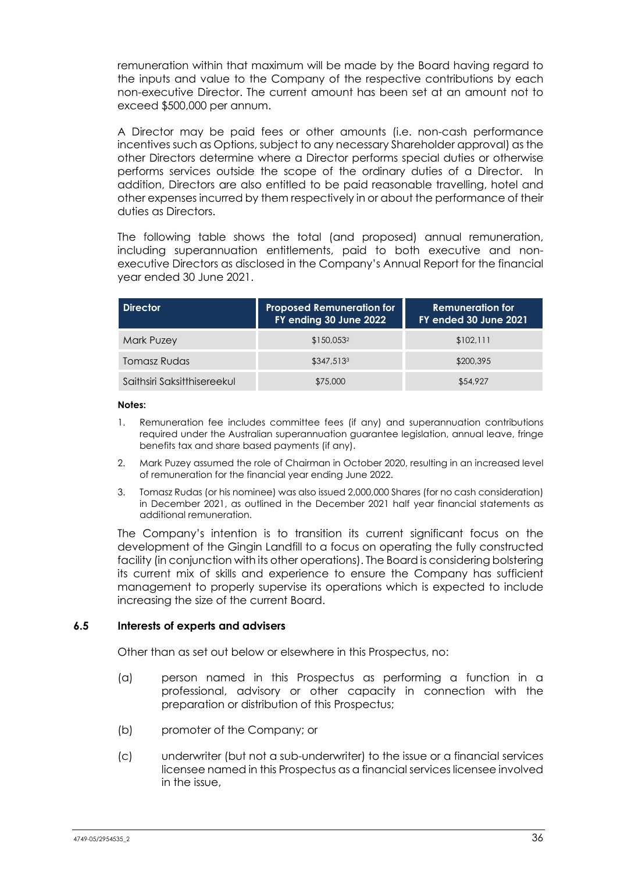remuneration within that maximum will be made by the Board having regard to the inputs and value to the Company of the respective contributions by each non-executive Director. The current amount has been set at an amount not to exceed \$500,000 per annum.

A Director may be paid fees or other amounts (i.e. non-cash performance incentives such as Options, subject to any necessary Shareholder approval) as the other Directors determine where a Director performs special duties or otherwise performs services outside the scope of the ordinary duties of a Director. In addition, Directors are also entitled to be paid reasonable travelling, hotel and other expenses incurred by them respectively in or about the performance of their duties as Directors.

The following table shows the total (and proposed) annual remuneration, including superannuation entitlements, paid to both executive and nonexecutive Directors as disclosed in the Company's Annual Report for the financial year ended 30 June 2021.

| Director                    | <b>Proposed Remuneration for</b><br>FY ending 30 June 2022 | <b>Remuneration for</b><br>FY ended 30 June 2021 |
|-----------------------------|------------------------------------------------------------|--------------------------------------------------|
| Mark Puzey                  | \$150,053 <sup>2</sup>                                     | \$102,111                                        |
| Tomasz Rudas                | \$347.513 <sup>3</sup>                                     | \$200,395                                        |
| Saithsiri Saksitthisereekul | \$75,000                                                   | \$54,927                                         |

## **Notes:**

- 1. Remuneration fee includes committee fees (if any) and superannuation contributions required under the Australian superannuation guarantee legislation, annual leave, fringe benefits tax and share based payments (if any).
- 2. Mark Puzey assumed the role of Chairman in October 2020, resulting in an increased level of remuneration for the financial year ending June 2022.
- 3. Tomasz Rudas (or his nominee) was also issued 2,000,000 Shares (for no cash consideration) in December 2021, as outlined in the December 2021 half year financial statements as additional remuneration.

The Company's intention is to transition its current significant focus on the development of the Gingin Landfill to a focus on operating the fully constructed facility (in conjunction with its other operations). The Board is considering bolstering its current mix of skills and experience to ensure the Company has sufficient management to properly supervise its operations which is expected to include increasing the size of the current Board.

## **6.5 Interests of experts and advisers**

Other than as set out below or elsewhere in this Prospectus, no:

- (a) person named in this Prospectus as performing a function in a professional, advisory or other capacity in connection with the preparation or distribution of this Prospectus;
- (b) promoter of the Company; or
- (c) underwriter (but not a sub-underwriter) to the issue or a financial services licensee named in this Prospectus as a financial services licensee involved in the issue,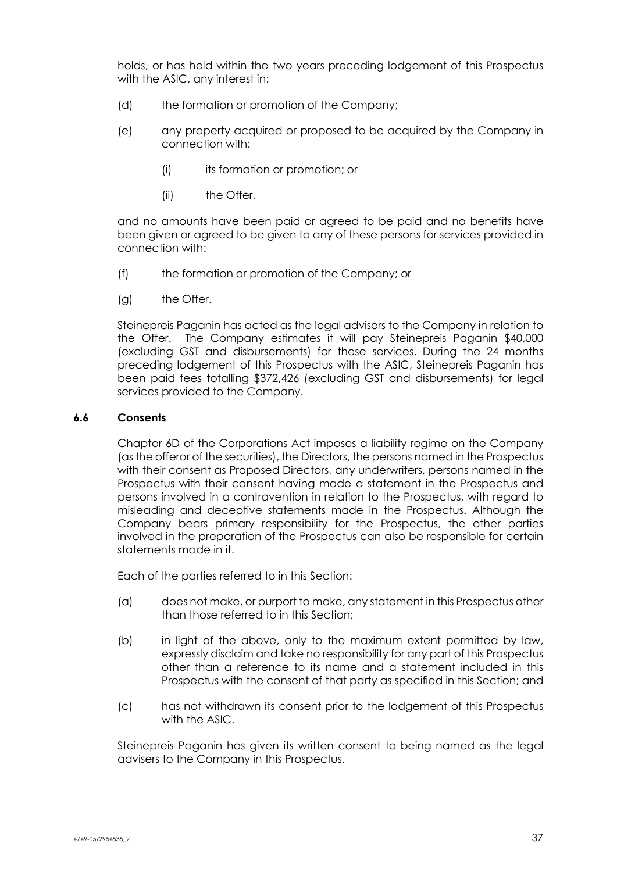holds, or has held within the two years preceding lodgement of this Prospectus with the ASIC, any interest in:

- (d) the formation or promotion of the Company;
- (e) any property acquired or proposed to be acquired by the Company in connection with:
	- (i) its formation or promotion; or
	- (ii) the Offer,

and no amounts have been paid or agreed to be paid and no benefits have been given or agreed to be given to any of these persons for services provided in connection with:

- (f) the formation or promotion of the Company; or
- (g) the Offer.

Steinepreis Paganin has acted as the legal advisers to the Company in relation to the Offer. The Company estimates it will pay Steinepreis Paganin \$40,000 (excluding GST and disbursements) for these services. During the 24 months preceding lodgement of this Prospectus with the ASIC, Steinepreis Paganin has been paid fees totalling \$372,426 (excluding GST and disbursements) for legal services provided to the Company.

## **6.6 Consents**

Chapter 6D of the Corporations Act imposes a liability regime on the Company (as the offeror of the securities), the Directors, the persons named in the Prospectus with their consent as Proposed Directors, any underwriters, persons named in the Prospectus with their consent having made a statement in the Prospectus and persons involved in a contravention in relation to the Prospectus, with regard to misleading and deceptive statements made in the Prospectus. Although the Company bears primary responsibility for the Prospectus, the other parties involved in the preparation of the Prospectus can also be responsible for certain statements made in it.

Each of the parties referred to in this Section:

- (a) does not make, or purport to make, any statement in this Prospectus other than those referred to in this Section;
- (b) in light of the above, only to the maximum extent permitted by law, expressly disclaim and take no responsibility for any part of this Prospectus other than a reference to its name and a statement included in this Prospectus with the consent of that party as specified in this Section; and
- (c) has not withdrawn its consent prior to the lodgement of this Prospectus with the ASIC.

Steinepreis Paganin has given its written consent to being named as the legal advisers to the Company in this Prospectus.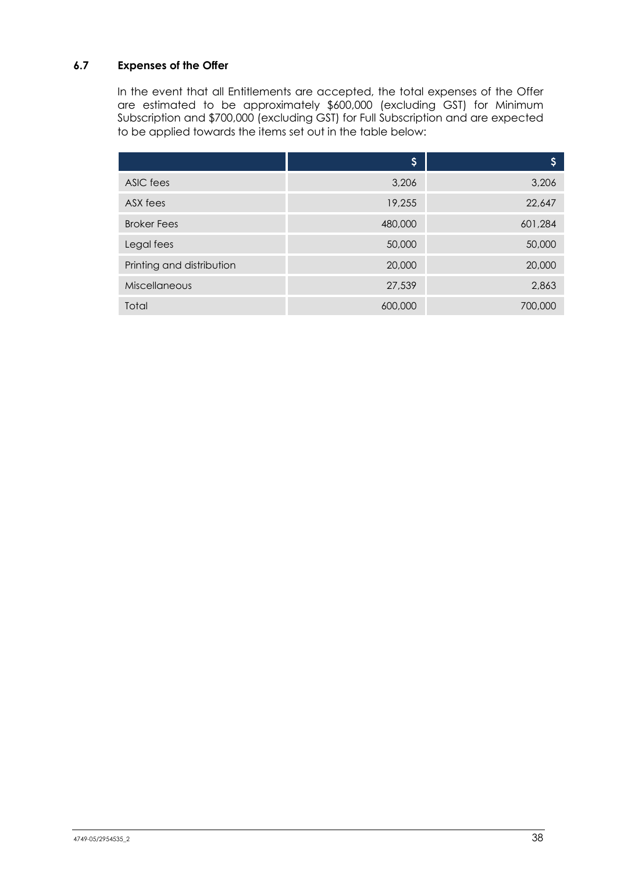## <span id="page-42-0"></span>**6.7 Expenses of the Offer**

In the event that all Entitlements are accepted, the total expenses of the Offer are estimated to be approximately \$600,000 (excluding GST) for Minimum Subscription and \$700,000 (excluding GST) for Full Subscription and are expected to be applied towards the items set out in the table below:

|                           | \$      | S       |
|---------------------------|---------|---------|
| ASIC fees                 | 3,206   | 3,206   |
| ASX fees                  | 19,255  | 22,647  |
| <b>Broker Fees</b>        | 480,000 | 601,284 |
| Legal fees                | 50,000  | 50,000  |
| Printing and distribution | 20,000  | 20,000  |
| <b>Miscellaneous</b>      | 27,539  | 2,863   |
| Total                     | 600,000 | 700,000 |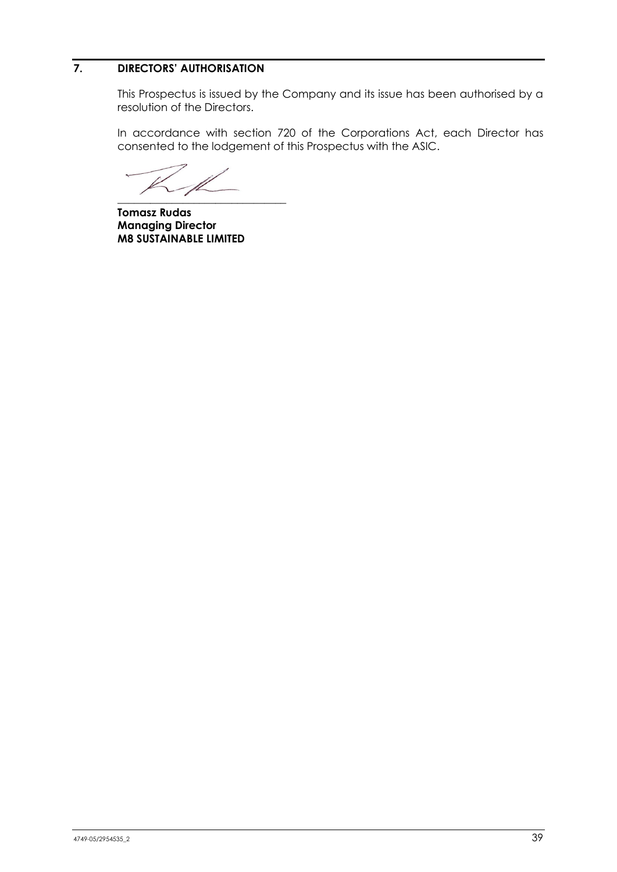## <span id="page-43-0"></span>**7. DIRECTORS' AUTHORISATION**

This Prospectus is issued by the Company and its issue has been authorised by a resolution of the Directors.

In accordance with section 720 of the Corporations Act, each Director has consented to the lodgement of this Prospectus with the ASIC.

 $\overline{\phantom{a}}$  , where  $\overline{\phantom{a}}$  , where  $\overline{\phantom{a}}$  , where  $\overline{\phantom{a}}$ 

**Tomasz Rudas Managing Director M8 SUSTAINABLE LIMITED**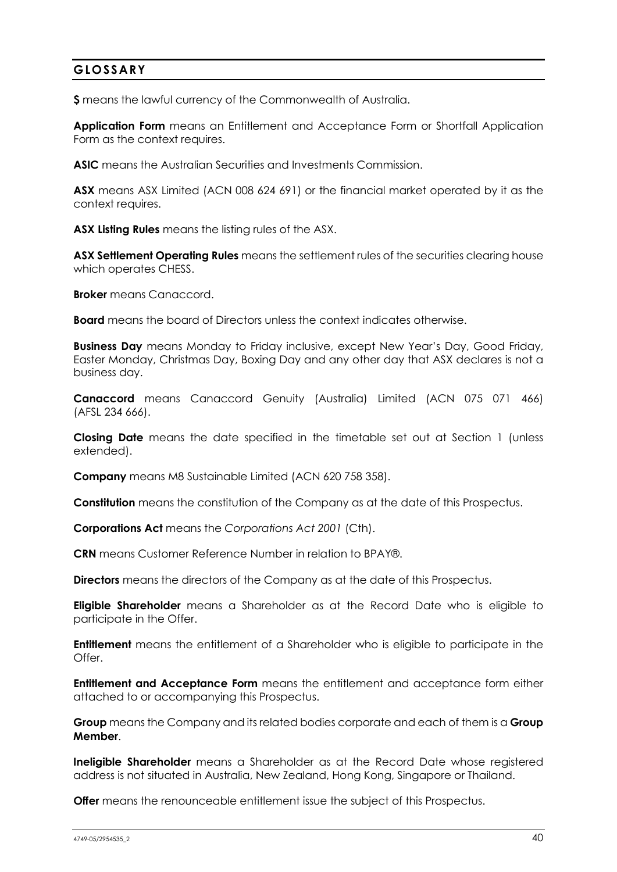## <span id="page-44-0"></span>**GLOSSARY**

**\$** means the lawful currency of the Commonwealth of Australia.

**Application Form** means an Entitlement and Acceptance Form or Shortfall Application Form as the context requires.

**ASIC** means the Australian Securities and Investments Commission.

**ASX** means ASX Limited (ACN 008 624 691) or the financial market operated by it as the context requires.

**ASX Listing Rules** means the listing rules of the ASX.

**ASX Settlement Operating Rules** means the settlement rules of the securities clearing house which operates CHESS.

**Broker** means Canaccord.

**Board** means the board of Directors unless the context indicates otherwise.

**Business Day** means Monday to Friday inclusive, except New Year's Day, Good Friday, Easter Monday, Christmas Day, Boxing Day and any other day that ASX declares is not a business day.

**Canaccord** means Canaccord Genuity (Australia) Limited (ACN 075 071 466) (AFSL 234 666).

**Closing Date** means the date specified in the timetable set out at Section 1 (unless extended).

**Company** means M8 Sustainable Limited (ACN 620 758 358).

**Constitution** means the constitution of the Company as at the date of this Prospectus.

**Corporations Act** means the *Corporations Act 2001* (Cth).

**CRN** means Customer Reference Number in relation to BPAY®.

**Directors** means the directors of the Company as at the date of this Prospectus.

**Eligible Shareholder** means a Shareholder as at the Record Date who is eligible to participate in the Offer.

**Entitlement** means the entitlement of a Shareholder who is eligible to participate in the Offer.

**Entitlement and Acceptance Form** means the entitlement and acceptance form either attached to or accompanying this Prospectus.

**Group** means the Company and its related bodies corporate and each of them is a **Group Member**.

**Ineligible Shareholder** means a Shareholder as at the Record Date whose registered address is not situated in Australia, New Zealand, Hong Kong, Singapore or Thailand.

**Offer** means the renounceable entitlement issue the subject of this Prospectus.